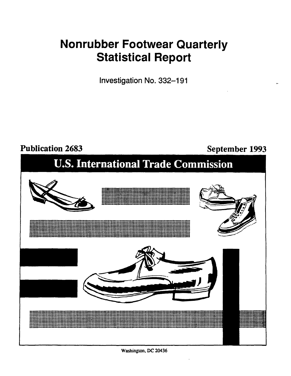# **Nonrubber Footwear Quarterly Statistical Report**

Investigation No. 332-191

**Publication 2683** 

September 1993



Washington, DC 20436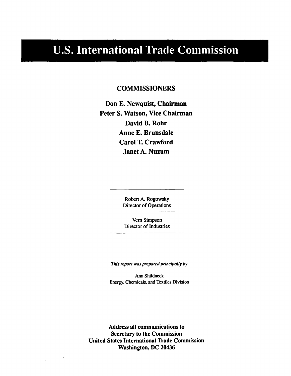## U.S. International Trade Commission

### COMMISSIONERS

Don E. Newquist, Chairman Peter S. Watson, Vice Chairman David B. Rohr Anne E. Brunsdale Carol T. Crawford Janet A. Nuzum

> Robert A. Rogowsky Director of Operations

Vern Simpson Director of Industries

*This report was prepared principally by* 

Ann Shildneck Energy, Chemicals, and Textiles Division

Address all communications to **Secretary to the Commission** United States International Trade Commission Washington, DC 20436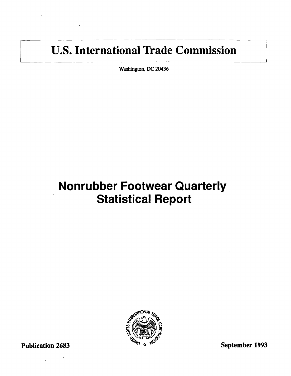# U.S. International Trade Commission

Washington, DC 20436

# Nonrubber Footwear Quarterly Statistical Report



 $\ddot{\phantom{0}}$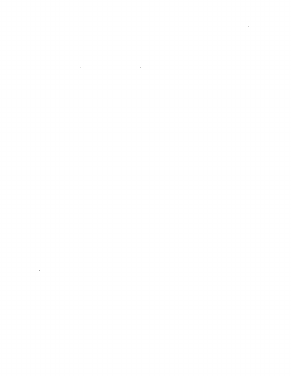$\mathcal{L}(\mathcal{L}^{\mathcal{L}})$  and  $\mathcal{L}^{\mathcal{L}}$  and  $\mathcal{L}^{\mathcal{L}}$  and  $\mathcal{L}^{\mathcal{L}}$  $\mathcal{L}^{\text{max}}_{\text{max}}$  , where  $\mathcal{L}^{\text{max}}_{\text{max}}$ 

 $\label{eq:2.1} \mathcal{L}(\mathcal{L}(\mathcal{L})) = \mathcal{L}(\mathcal{L}(\mathcal{L})) = \mathcal{L}(\mathcal{L}(\mathcal{L})) = \mathcal{L}(\mathcal{L}(\mathcal{L})) = \mathcal{L}(\mathcal{L}(\mathcal{L})) = \mathcal{L}(\mathcal{L}(\mathcal{L})) = \mathcal{L}(\mathcal{L}(\mathcal{L})) = \mathcal{L}(\mathcal{L}(\mathcal{L})) = \mathcal{L}(\mathcal{L}(\mathcal{L})) = \mathcal{L}(\mathcal{L}(\mathcal{L})) = \mathcal{L}(\mathcal{L}(\mathcal{L})) = \math$ 

 $\label{eq:2.1} \frac{1}{\sqrt{2}}\int_{\mathbb{R}^3} \frac{1}{\sqrt{2}}\left(\frac{1}{\sqrt{2}}\right)^2\frac{1}{\sqrt{2}}\left(\frac{1}{\sqrt{2}}\right)^2\frac{1}{\sqrt{2}}\left(\frac{1}{\sqrt{2}}\right)^2.$ 

 $\bar{\gamma}$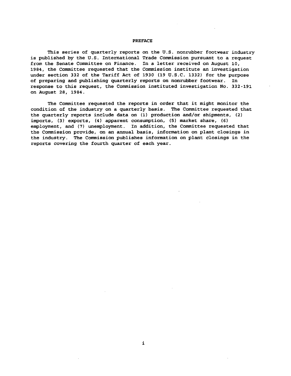#### PREFACE

This series of quarterly reports on the U.S. nonrubber footwear industry is published by the U.S. International Trade Commission pursuant to a request from the Senate Committee on Finance. In a letter received on August 10, 1984, the Committee requested that the Commission institute an investigation under section 332 of the Tariff Act of 1930 (19 U.S.C. 1332) for the purpose of preparing and publishing quarterly reports on nonrubber footwear. In response to this request, the Commission instituted investigation No. 332-191 on August 28, 1984.

The Committee requested the reports in order that it might monitor the condition of the industry on a quarterly basis. The Committee requested that the quarterly reports include data on (1) production and/or shipments, (2) imports, (3) exports, (4) apparent consumption, (5) market share, (6) employment, and (7) unemployment. In addition, the Committee requested that the Commission provide, on an annual basis, information on plant closings in the industry. The Commission publishes information on plant closings in the reports covering the fourth quarter of each year.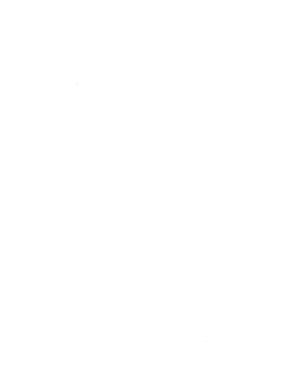$\label{eq:2.1} \frac{1}{2} \sum_{i=1}^n \frac{1}{2} \sum_{j=1}^n \frac{1}{2} \sum_{j=1}^n \frac{1}{2} \sum_{j=1}^n \frac{1}{2} \sum_{j=1}^n \frac{1}{2} \sum_{j=1}^n \frac{1}{2} \sum_{j=1}^n \frac{1}{2} \sum_{j=1}^n \frac{1}{2} \sum_{j=1}^n \frac{1}{2} \sum_{j=1}^n \frac{1}{2} \sum_{j=1}^n \frac{1}{2} \sum_{j=1}^n \frac{1}{2} \sum_{j=1}^n \frac{$  $\label{eq:2.1} \frac{1}{\sqrt{2\pi}}\int_{0}^{\infty} \frac{1}{\sqrt{2\pi}}\left(\frac{1}{\sqrt{2\pi}}\right)^{2\alpha} \frac{1}{\sqrt{2\pi}}\frac{1}{\sqrt{2\pi}}\int_{0}^{\infty} \frac{1}{\sqrt{2\pi}}\frac{1}{\sqrt{2\pi}}\frac{1}{\sqrt{2\pi}}\frac{1}{\sqrt{2\pi}}\frac{1}{\sqrt{2\pi}}\frac{1}{\sqrt{2\pi}}\frac{1}{\sqrt{2\pi}}\frac{1}{\sqrt{2\pi}}\frac{1}{\sqrt{2\pi}}\frac{1}{\sqrt{2\pi}}\$ 

 $\label{eq:2.1} \frac{1}{\sqrt{2}}\left(\frac{1}{\sqrt{2}}\right)^{2} \left(\frac{1}{\sqrt{2}}\right)^{2} \left(\frac{1}{\sqrt{2}}\right)^{2} \left(\frac{1}{\sqrt{2}}\right)^{2} \left(\frac{1}{\sqrt{2}}\right)^{2} \left(\frac{1}{\sqrt{2}}\right)^{2} \left(\frac{1}{\sqrt{2}}\right)^{2} \left(\frac{1}{\sqrt{2}}\right)^{2} \left(\frac{1}{\sqrt{2}}\right)^{2} \left(\frac{1}{\sqrt{2}}\right)^{2} \left(\frac{1}{\sqrt{2}}\right)^{2} \left(\$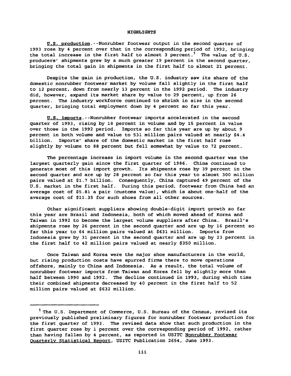#### HIGHLIGHTS

U.S. production. -- Nonrubber footwear output in the second quarter of 1993 rose by 4 percent over that in the corresponding period of 1992, bringing the total increase in the first half to almost 3 percent.<sup>1</sup> The value of U.S. producers' shipments grew by a much greater 19 percent in the second quarter, bringing the total gain in shipments in the first half to almost 21 percent.

Despite the gain in production, the U.S. industry saw its share of the domestic nonrubber footwear market by volume fall slightly in the first half to 12 percent, down from nearly 13 percent in the 1992 period. The industry did, however, expand its market share by value to 29 percent, up from 26 percent. The industry workforce continued to shrink in size in the second quarter, bringing total employment down by 4 percent so far this year.

U.S. imports. -- Nonrubber footwear imports accelerated in the second quarter of 1993, rising by 18 percent in volume and by 15 percent in value over those in the 1992 period. Imports so far this year are up by about 9 percent in both volume and value to 531 million pairs valued at nearly \$4.4 billion. Imports' share of the domestic market in the first half rose slightly by volume to 88 percent but fell somewhat by value to 72 percent.

The percentage increase in import volume in the second quarter was the largest quarterly gain since the first quarter of 1986. China continued to generate most of this import growth. Its shipments rose by 39 percent in the second quarter and are up by 28 percent so far this year to almost 300 million pairs valued at \$1.7 billion. Consequently, China captured 49 percent of the U.S. market in the first half. During this period, footwear from China had an average cost of \$5.81 a pair (customs value), which is about one-half of the average cost of \$11.35 for such shoes from all other sources.

Other significant suppliers showing double-digit import growth so far this year are Brazil and Indonesia, both of which moved ahead of Korea and Taiwan in 1992 to become the largest volume suppliers after China. Brazil's shipments rose by 26 percent in the second quarter and are up by 16 percent so far this year to 64 million pairs valued at \$631 million. Imports from Indonesia grew by 31 percent in the second quarter and are up by 23 percent in the first half to 42 million pairs valued at nearly \$350 million.

Once Taiwan and Korea were the major shoe manufacturers in the world, but rising production costs have spurred firms there to move operations offshore, mainly to China and Indonesia. As a result, the total volume of nonrubber footwear imports from Taiwan and Korea fell by slightly more than half between 1990 and 1992. The decline continued in 1993, during which time their combined shipments decreased by 40 percent in the first half to 52 million pairs valued at \$632 million.

<sup>&</sup>lt;sup>1</sup> The U.S. Department of Commerce, U.S. Bureau of the Census, revised its previously published preliminary figures for nonrubber footwear production for the first quarter of 1993. The revised data show that such production in the first quarter rose by 1 percent over the corresponding period of 1992, rather than having fallen by 4 percent, as reported in USITC Nonrubber Footwear Quarterly Statistical Report, USITC Publication 2654, June 1993.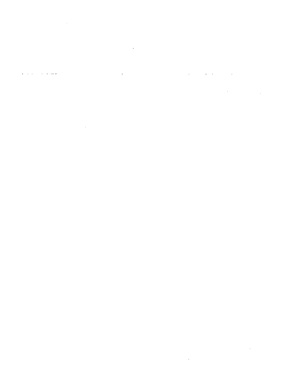$\label{eq:2.1} \frac{1}{\sqrt{2}}\int_{\mathbb{R}^3}\frac{1}{\sqrt{2}}\left(\frac{1}{\sqrt{2}}\right)^2\frac{1}{\sqrt{2}}\left(\frac{1}{\sqrt{2}}\right)^2\frac{1}{\sqrt{2}}\left(\frac{1}{\sqrt{2}}\right)^2\frac{1}{\sqrt{2}}\left(\frac{1}{\sqrt{2}}\right)^2.$ 

 $\label{eq:2.1} \frac{1}{\sqrt{2}}\int_{\mathbb{R}^3}\frac{1}{\sqrt{2}}\left(\frac{1}{\sqrt{2}}\right)^2\frac{1}{\sqrt{2}}\left(\frac{1}{\sqrt{2}}\right)^2\frac{1}{\sqrt{2}}\left(\frac{1}{\sqrt{2}}\right)^2\frac{1}{\sqrt{2}}\left(\frac{1}{\sqrt{2}}\right)^2.$ 

المناسبة المستقلة المناسبة المناسبة المناسبة المناسبة المناسبة المناسبة المناسبة المناسبة المناسبة المناسبة ال<br>والمناسبة المناسبة المناسبة المناسبة المناسبة المناسبة المناسبة المناسبة المناسبة المناسبة المناسبة المناسبة ا

 $\label{eq:2.1} \frac{1}{\sqrt{2}}\int_{\mathbb{R}^3}\frac{1}{\sqrt{2}}\left(\frac{1}{\sqrt{2}}\right)^2\frac{1}{\sqrt{2}}\left(\frac{1}{\sqrt{2}}\right)^2\frac{1}{\sqrt{2}}\left(\frac{1}{\sqrt{2}}\right)^2\frac{1}{\sqrt{2}}\left(\frac{1}{\sqrt{2}}\right)^2\frac{1}{\sqrt{2}}\left(\frac{1}{\sqrt{2}}\right)^2\frac{1}{\sqrt{2}}\frac{1}{\sqrt{2}}\frac{1}{\sqrt{2}}\frac{1}{\sqrt{2}}\frac{1}{\sqrt{2}}\frac{1}{\sqrt{2}}$ 

 $\mathcal{L}(\mathcal{L}^{\mathcal{L}})$  and  $\mathcal{L}^{\mathcal{L}}$  and  $\mathcal{L}^{\mathcal{L}}$  and  $\mathcal{L}^{\mathcal{L}}$ 

 $\label{eq:2.1} \frac{1}{2} \int_{\mathbb{R}^3} \frac{1}{\sqrt{2}} \, \frac{1}{\sqrt{2}} \, \frac{1}{\sqrt{2}} \, \frac{1}{\sqrt{2}} \, \frac{1}{\sqrt{2}} \, \frac{1}{\sqrt{2}} \, \frac{1}{\sqrt{2}} \, \frac{1}{\sqrt{2}} \, \frac{1}{\sqrt{2}} \, \frac{1}{\sqrt{2}} \, \frac{1}{\sqrt{2}} \, \frac{1}{\sqrt{2}} \, \frac{1}{\sqrt{2}} \, \frac{1}{\sqrt{2}} \, \frac{1}{\sqrt{2}} \, \frac{1}{\sqrt{2}} \,$  $\mathcal{L}^{\mathcal{L}}(\mathcal{L}^{\mathcal{L}}(\mathcal{L}^{\mathcal{L}}(\mathcal{L}^{\mathcal{L}}(\mathcal{L}^{\mathcal{L}}(\mathcal{L}^{\mathcal{L}}(\mathcal{L}^{\mathcal{L}}(\mathcal{L}^{\mathcal{L}}(\mathcal{L}^{\mathcal{L}}(\mathcal{L}^{\mathcal{L}}(\mathcal{L}^{\mathcal{L}}(\mathcal{L}^{\mathcal{L}}(\mathcal{L}^{\mathcal{L}}(\mathcal{L}^{\mathcal{L}}(\mathcal{L}^{\mathcal{L}}(\mathcal{L}^{\mathcal{L}}(\mathcal{L}^{\mathcal{L$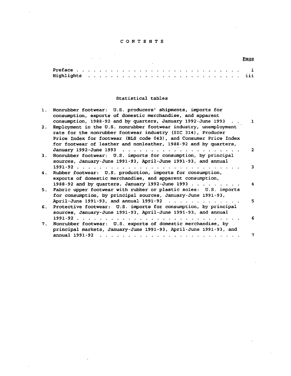### CONTENTS

 $\mathcal{L}$ 

 $\sim 10^{-11}$ 

 $\sim$ 

 $\ddot{\phantom{a}}$ 

 $\overline{\phantom{a}}$ 

 $\lambda$ 

### Statistical tables

| $\mathbf 1$ . | Nonrubber footwear: U.S. producers' shipments, imports for<br>consumption, exports of domestic merchandise, and apparent                                                                                                                                              |   |
|---------------|-----------------------------------------------------------------------------------------------------------------------------------------------------------------------------------------------------------------------------------------------------------------------|---|
| 2.            | consumption, 1988-92 and by quarters, January 1992-June 1993<br>Employment in the U.S. nonrubber footwear industry, unemployment<br>rate for the nonrubber footwear industry (SIC 314), Producer<br>Price Index for footwear (BLS code 043), and Consumer Price Index |   |
|               | for footwear of leather and nonleather, 1988-92 and by quarters,<br>January 1992-June 1993                                                                                                                                                                            | 2 |
| З.            | Nonrubber footwear: U.S. imports for consumption, by principal<br>sources, January-June 1991-93, April-June 1991-93, and annual                                                                                                                                       |   |
| 4.            | $1991 - 92$<br>Rubber footwear: U.S. production, imports for consumption,                                                                                                                                                                                             |   |
|               | exports of domestic merchandise, and apparent consumption,                                                                                                                                                                                                            |   |
| 5.            | 1988-92 and by quarters, January 1992-June 1993<br>Fabric upper footwear with rubber or plastic soles: U.S. imports<br>for consumption, by principal sources, January-June 1991-93,                                                                                   | 4 |
| 6.            | April-June 1991-93, and annual 1991-92                                                                                                                                                                                                                                | 5 |
|               | Protective footwear: U.S. imports for consumption, by principal<br>sources, January-June 1991-93, April-June 1991-93, and annual                                                                                                                                      |   |
| 7.            | $1991 - 92$ .<br>Nonrubber footwear: U.S. exports of domestic merchandise, by                                                                                                                                                                                         | 6 |
|               | principal markets, January-June 1991-93, April-June 1991-93, and                                                                                                                                                                                                      |   |
|               | annual 1991-92                                                                                                                                                                                                                                                        |   |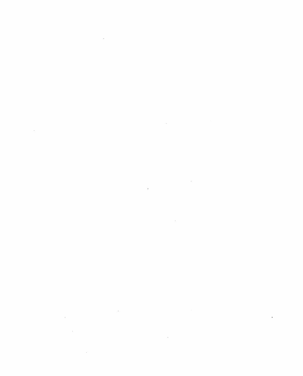$\label{eq:2.1} \frac{1}{2} \sum_{i=1}^n \frac{1}{2} \sum_{j=1}^n \frac{1}{2} \sum_{j=1}^n \frac{1}{2} \sum_{j=1}^n \frac{1}{2} \sum_{j=1}^n \frac{1}{2} \sum_{j=1}^n \frac{1}{2} \sum_{j=1}^n \frac{1}{2} \sum_{j=1}^n \frac{1}{2} \sum_{j=1}^n \frac{1}{2} \sum_{j=1}^n \frac{1}{2} \sum_{j=1}^n \frac{1}{2} \sum_{j=1}^n \frac{1}{2} \sum_{j=1}^n \frac{$  $\label{eq:2.1} \frac{1}{\sqrt{2}}\int_{\mathbb{R}^3}\frac{1}{\sqrt{2}}\left(\frac{1}{\sqrt{2}}\int_{\mathbb{R}^3}\frac{1}{\sqrt{2}}\left(\frac{1}{\sqrt{2}}\int_{\mathbb{R}^3}\frac{1}{\sqrt{2}}\left(\frac{1}{\sqrt{2}}\int_{\mathbb{R}^3}\frac{1}{\sqrt{2}}\right)\frac{1}{\sqrt{2}}\right)\frac{1}{\sqrt{2}}\right)=\frac{1}{2}\int_{\mathbb{R}^3}\frac{1}{\sqrt{2}}\int_{\mathbb{R}^3}\frac{1}{\sqrt{2}}\frac{1}{\$ 

 $\mathcal{L}(\mathcal{L}(\mathcal{L}))$  . The set of  $\mathcal{L}(\mathcal{L})$  and  $\mathcal{L}(\mathcal{L})$  $\mathcal{L}^{\text{max}}_{\text{max}}$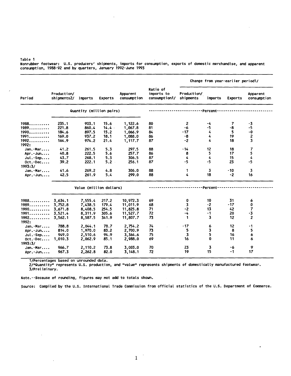Table 1

Nonrubber footwear: U.S. producers' shipments, imports for consumption, exports of domestic merchandise, and apparent consumption, 1988-92 and by quarters, January 1992-June 1993

|                     |                            |                          |                |                         |                                         | Change from year-earlier period1/ |             |                |                         |  |  |  |
|---------------------|----------------------------|--------------------------|----------------|-------------------------|-----------------------------------------|-----------------------------------|-------------|----------------|-------------------------|--|--|--|
| Period              | Production/<br>shipments2/ | Imports                  | <b>Exports</b> | Apparent<br>consumption | Ratio of<br>imports to<br>consumption1/ | Production/<br>shipments          | Imports     | <b>Exports</b> | Apparent<br>consumption |  |  |  |
|                     |                            | Quantity (million pairs) |                |                         |                                         |                                   | Percent     |                |                         |  |  |  |
| $1988$              | 235.1                      | 903.1                    | 15.6           | 1,122.6                 | 80                                      | 2                                 | -4          | 7              | -3                      |  |  |  |
| 1989                | 221.8                      | 860.4                    | 14.4.          | 1,067.8                 | 81                                      | -6                                | -5          | -8             | -5                      |  |  |  |
| 1990                | 184.6                      | 897.5                    | 15.2           | 1,066.9                 | 84                                      | - 17                              | 4           | 5              | -0                      |  |  |  |
| 1991                | 169.0                      | 937.2                    | 18.1           | 1,088.0                 | 86                                      | -8                                | 4           | 19             | 2                       |  |  |  |
| 1992.<br>.<br>1992: | 164.9                      | 974.2                    | 21.4           | 1,117.7                 | 87                                      | $-2$                              | 4           | 18             | 3                       |  |  |  |
| Jan.-Mar            | 41.2                       | 261.5                    | 5.3            | 297.5                   | 88                                      | - 14                              | 12          | 18             | 7                       |  |  |  |
| Apr.-Jun            | 40.8                       | 222.5                    | 5.6            | 257.7                   | 86                                      | 8                                 | 5           | 17             | 5                       |  |  |  |
| Jul.-Sep            | 43.7                       | 268.1                    | 5.3            | 306.5                   | 87                                      | 4                                 | 4           | 15             | 4                       |  |  |  |
| Oct.-Dec<br>1993:3/ | 39.2                       | 222.1                    | 5.2            | 256.1                   | 87                                      | -5                                | $-5$        | 23             | -5                      |  |  |  |
| Jan.-Mar            | 41.6                       | 269.2                    | 4.8            | 306.0                   | 88                                      | 1                                 | 3           | $-10$          | 3                       |  |  |  |
| Apr.-Jun            | 42.5                       | 261.9                    | 5.4            | 299.0                   | 88                                      | 4                                 | 18          | $-2$           | 16                      |  |  |  |
|                     |                            | Value (million dollars)  |                |                         |                                         |                                   | Percent     |                |                         |  |  |  |
| $1988$              | 3,634.1                    | 7,555.4                  | 217.2          | 10,972.3                | 69                                      | 0                                 | 10          | 31             | 6                       |  |  |  |
| $1989$              | 3,752.8                    | 7,438.5                  | 179.4          | 11,011.9                | 68                                      | 3                                 | $-2$        | $-17$          | 0                       |  |  |  |
| 1990                | 3,671.8                    | 8,408.5                  | 254.5          | 11,825.8                | 71                                      | $-2$                              | 13          | 42             | $\overline{7}$          |  |  |  |
| 1991                | 3,521.4                    | 8,311.9                  | 305.6          | 11,527.7                | 72                                      | $-4$                              | $-1$        | 20             | -3                      |  |  |  |
| 1992                | 3,562.1                    | 8,587.5                  | 341.9          | 11,807.7                | 73                                      | $\mathbf{1}$                      | 3           | 12             | $\overline{c}$          |  |  |  |
| 1992:               |                            |                          |                |                         |                                         |                                   |             |                |                         |  |  |  |
| Jan.-Mar            | 788.8                      | 2,044.1                  | 78.7           | 2,754.2                 | 74                                      | -17                               | 6           | 12             | $-1$                    |  |  |  |
| Apr.-Jun            | 814.0                      | 1,970.0                  | 83.2           | 2,700.9                 | 73                                      | 5                                 | 3           | 8              | 5                       |  |  |  |
| $Jul.-Sep$          | 949.0                      | 2,510.6                  | 94.9           | 3.364.6                 | 75                                      | 3                                 | 5           | 16             | 6                       |  |  |  |
| $Oct.-Dec$          | 1,010.3                    | 2,062.9                  | 85.1           | 2,988.0                 | 69                                      | 16                                | $\mathbf 0$ | 11             | 6                       |  |  |  |
| 1993:3/             |                            |                          |                |                         |                                         |                                   |             |                |                         |  |  |  |
| Jan.-Mar            | 966.7                      | 2,110.2                  | 73.8           | 3,003.0                 | 70                                      | 23                                | 3           | -6             | 9                       |  |  |  |
| Apr.-Jun            | 967.3                      | 2,262.8                  | 82.0           | 3,148.1                 | 72                                      | 19                                | 15          | $-1$           | 17                      |  |  |  |
|                     |                            |                          |                |                         |                                         |                                   |             |                |                         |  |  |  |

1/Percentages based on unrounded data.

2/"0uantity" represents U.S. production, and "value" represents shipments of domestically manufactured footwear. 3/Preliminary.

Note.--Because of rounding, figures may not add to totals shown.

Source: Compiled by the U.S. International Trade Commission from official statistics of the U.S. Department of Commerce.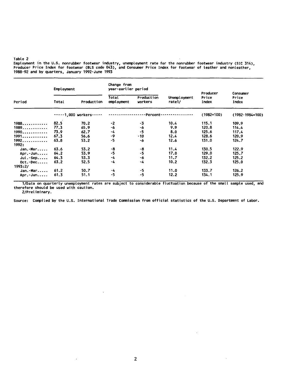#### Table 2

Employment in the U.S. nonrubber footwear industry, unemployment rate for the nonrubber footwear industry (SIC 314), Producer Price Index for footwear (BLS code 043), and Consumer Price Index for footwear of leather and nonleather, 1988-92 and by quarters, January 1992-June 1993

|               | Employment |                         | Change from<br>year-earlier period |                       |                        |                            |                            |  |
|---------------|------------|-------------------------|------------------------------------|-----------------------|------------------------|----------------------------|----------------------------|--|
| Period        | Total      | Production              | Total<br>employment                | Production<br>workers | Unemployment<br>rate1/ | Producer<br>Price<br>Index | Consumer<br>Price<br>Index |  |
|               |            | -----1,000 workers----- |                                    | -Percent-             |                        | $(1982=100)$               | $(1982 - 1984 = 100)$      |  |
| $1988 \dots $ | 82.5       | 70.2                    | -2                                 | -3                    | 10.4                   | 115.1                      | 109.9                      |  |
| $1989$        | 77.3       | 65.9                    | -6                                 | -6                    | 9.9                    | 120.8                      | 114.4                      |  |
| $1990$        | 73.9       | 62.7                    | -4                                 | $-5$                  | 8.0                    | 125.6                      | 117.4                      |  |
| 1991          | 67.3       | 56.6                    | -9                                 | $-10$                 | 12.4                   | 128.6                      | 120.9                      |  |
| $1992 \dots $ | 63.8       | 53.2                    | $-5$                               | -6                    | 12.6                   | 131.0                      | 124.7                      |  |
| 1992:         |            |                         |                                    |                       |                        |                            |                            |  |
| Jan.-Mar      | 63.6       | 53.2                    |                                    | -8                    | 11.4                   | 130.5                      | 122.9                      |  |
| Apr.-Jun      | 64.2       | 53.9                    | $-8$<br>-5                         | -5                    | 17.0                   | 129.0                      | 125.7                      |  |
| $Jul.-Sep$    | 64.3       | 53.3                    | $-4$                               | -6                    | 11.7                   | 132.2                      | 125.2                      |  |
| $Oct.-Dec.$   | 63.2       | 52.5                    | -4                                 | -4                    | 10.2                   | 132.3                      | 125.0                      |  |
| 1993:2/       |            |                         |                                    |                       |                        |                            |                            |  |
| Jan.-Mar      | 61.2       | 50.7                    | -4                                 | -5                    | 11.0                   | 133.7                      | 126.2                      |  |
| Apr.-Jun      | 61.3       | 51.1                    | $-5$                               | -5                    | 12.2                   | 134.1                      | 125.9                      |  |

1/Data on quarterly unemployment rates are subject to considerable fluctuation because of the small sample used, and therefore should be used with caution. 2/Prel iminary.

Source: Compiled by the U.S. International Trade Commission from official statistics of the U.S. Department of Labor.

 $\ddot{\phantom{a}}$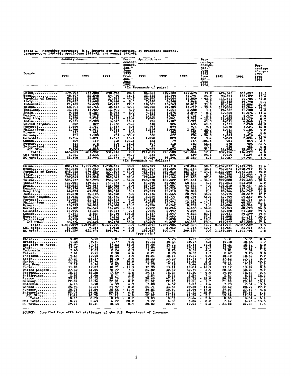| Table 3.--Nonrubber footwear: U.S. imports for consumption, by principal sources, |  |
|-----------------------------------------------------------------------------------|--|
| January-June 1991-93, April-June 1991-93, and annual 1991-92                      |  |

 $\sim 10^7$ 

 $\sim 10^{-1}$ 

| January-June--                                  |                      |                            |                     | Per-<br>centage                                                                                                                                           | <b>April-June--</b>        |                     |                     | Per-<br>centage                                                   |                      |                        |                                                                                                                                                                                               |
|-------------------------------------------------|----------------------|----------------------------|---------------------|-----------------------------------------------------------------------------------------------------------------------------------------------------------|----------------------------|---------------------|---------------------|-------------------------------------------------------------------|----------------------|------------------------|-----------------------------------------------------------------------------------------------------------------------------------------------------------------------------------------------|
| Source                                          | 1991                 | 1992                       | 1993                | change,<br>Jan.-<br>June<br>1993<br>from<br>Jan.-<br>June<br>1992                                                                                         | 1991                       | 1992                | 1993                | change,<br>Арг.-<br>June<br>1993<br>from<br>Apr.-<br>June<br>1992 | 1991                 | 1992                   | Per-<br>centage<br>change,<br>1992<br>from<br>1991                                                                                                                                            |
|                                                 |                      |                            |                     |                                                                                                                                                           | (In thousands of pairs)    |                     |                     |                                                                   |                      |                        |                                                                                                                                                                                               |
| China                                           | 179,903<br>48,607    | 233,008                    | 298,966<br>64,497   | 28. S                                                                                                                                                     | 86,346                     | 107,680             | 149,675             | 39.0                                                              | 424,542              | 506,057                | 19.2                                                                                                                                                                                          |
| Brazil<br>Republic of Korea.                    | 56,613               | 55,548<br>38,895           | 21,517              | 16.1<br>44.7<br>$\blacksquare$                                                                                                                            | 23,155<br>29,540           | 25,244<br>19,069    | 31,791<br>11,059    | 25.9<br>42.0                                                      | 93,601<br>113,671    | 106,122<br>70,704      | 13.4<br>37.8<br>$\overline{\phantom{0}}$                                                                                                                                                      |
| $Itally$<br>Indonesia                           | 20,432<br>21,165     | 21,403<br>34,493           | 19,694<br>42,290    | 8.0<br>$\overline{\phantom{0}}$<br>22.6                                                                                                                   | 7,828<br>10,365            | 8,268<br>15,243     | 9,068<br>20,017     | 9.7<br>31.3                                                       | 33,115<br>51,014     | 34,798<br>76,806       | 5.1<br>50.6                                                                                                                                                                                   |
| Taiwan<br>Thailand                              | 68,251               | 48,764                     | 30,640              | 37.2<br>$\hskip1.6pt\hskip1.6pt\hskip1.6pt\hskip1.6pt\hskip1.6pt\hskip1.6pt\hskip1.6pt\hskip1.6pt\hskip1.6pt\hskip1.6pt\hskip1.6pt\hskip1.6pt\hskip1.6pt$ | 30,248                     | 21,305              | 13,717              | 35.6<br>$\overline{a}$                                            | 117,886              | 75,346                 | 36.1<br>۰                                                                                                                                                                                     |
| Spain                                           | 13,215<br>9,268      | 13,427<br>8,284            | 13,949<br>8,033     | 3.9<br>3.0                                                                                                                                                | 6,288<br>4,593             | 6,551<br>3,875      | 6,480<br>3,849      | $\blacksquare$<br>-1.1<br>$\blacksquare$<br>0.7                   | 24,522<br>17,500     | 25,500<br>15,476       | 4.0<br>11.6                                                                                                                                                                                   |
| Mexico                                          | 3,380                | 3,275                      | 3,534               | 7.9                                                                                                                                                       | 1,705                      | 1,789               | 1,723               | $\overline{\phantom{0}}$<br>3.7                                   | 6,436                | 6,979                  | 8.4                                                                                                                                                                                           |
| Hong Kong                                       | 6,125<br>2,231       | 7,232<br>2,908             | 6,263<br>3,393      | - 13.4<br>16.7                                                                                                                                            | 2,845<br>906               | 3,541<br>1,187      | 3,063<br>1,921      | $\qquad \qquad \blacksquare$<br>13.5<br>61.8                      | 12,653<br>4,091      | 13,779                 | 8.9                                                                                                                                                                                           |
| India<br>United Kingdom                         | 602                  | 829                        | 1,438               | 73.5                                                                                                                                                      | 318                        | 424                 | 685                 | 61.6                                                              | 1,331                | 4,569<br>2,248         | 11.7<br>68.9                                                                                                                                                                                  |
| Portugal<br>Philippines                         | 1,664<br>2,940       | 1,737<br>4,017             | 1,887<br>3,711      | 8.6<br>7.6                                                                                                                                                | 747<br>1,596               | 894<br>2,445        | 975<br>1,957        | 9.1<br>20.0                                                       | 3,070                | 3,523<br>9,185         | 14.8                                                                                                                                                                                          |
| France                                          | 392                  | 441                        | 480                 | 8.8                                                                                                                                                       | 162                        | 186                 | 252                 | 35.5                                                              | 8,411<br>870         | 919                    | 9.2<br>5.6                                                                                                                                                                                    |
| Germany<br>Colombia                             | 751<br>2,356         | 1,188<br>1,891             | 761<br>1,643        | - 35.9<br>$-13.1$                                                                                                                                         | 368<br>1,048               | 622<br>829          | 286<br>857          | 54.0                                                              | 1,869                | 2,619                  | 40.1                                                                                                                                                                                          |
| Canada                                          | 169                  | 119                        | 268                 | 125.2                                                                                                                                                     | 122                        | 79                  | 163                 | 3.4<br>106.3                                                      | 3,869<br>903         | 2,836<br>848           | 26.7<br>$\hskip1.6pt\hskip1.6pt\hskip1.6pt\hskip1.6pt\hskip1.6pt\hskip1.6pt\hskip1.6pt\hskip1.6pt\hskip1.6pt\hskip1.6pt\hskip1.6pt\hskip1.6pt\hskip1.6pt$<br>$\overline{\phantom{a}}$<br>6. 1 |
| Hungary <sub>z</sub>                            | 311                  | 248<br>197                 | 294<br>167          | 18.5<br>15.2                                                                                                                                              | 107<br>82                  | 110                 | 182                 | 65.5                                                              | 578                  | 425                    | $-26.5$                                                                                                                                                                                       |
| $S$ witzerland<br>All Other                     | 168<br>7 <u>,116</u> | <u>6,068</u>               | 581ء                | 24.9                                                                                                                                                      | 503                        | 81<br>,076          | 95<br>4,036         | 17.3                                                              | 428<br><u>16,786</u> | 453<br>15,022          | 5.8<br>,10<br>5                                                                                                                                                                               |
| Total <i></i> .                                 | 445,669              | 483,982                    | 531,016<br>1,245    | 9.7<br>23.9                                                                                                                                               | 211.879<br>532             | 222,508<br>825      | 261,864             | 17.7<br>24.6                                                      | 937,156              | 974,223                | 4.0                                                                                                                                                                                           |
| $CDI$ total<br><u>EC total</u>                  | 1,206<br>33,190      | 1,635<br>33,998            | 32,573              | 4.                                                                                                                                                        | 14.054                     | 14,345              | 622<br>15,289       | 6.6                                                               | 2,464<br>57.987      | 3,621<br>59,904        | 47.0<br>3.3                                                                                                                                                                                   |
|                                                 |                      |                            |                     |                                                                                                                                                           | (In thousands of dollars)  |                     |                     |                                                                   |                      |                        |                                                                                                                                                                                               |
| China                                           | 881,136              | 1,259,948                  | 1,738,669           | 38.0                                                                                                                                                      | 443,349                    | 617.310             | 928,044             | 50.3                                                              | 2,257,037            | 2,969,726              | 31.6                                                                                                                                                                                          |
| Brazil<br>Republic of Korea.                    | 454,514<br>845,912   | 519,452<br>574,589         | 630,663<br>377,102  | 21.4<br>34.4                                                                                                                                              | 234,697<br>433,201         | 261,225<br>280,812  | 341,165<br>183,710  | 30.6<br>34.6                                                      | 952,873<br>1,627,009 | 1,098,912<br>1,073,106 | 15.3<br>34.0                                                                                                                                                                                  |
| Italy                                           | 396,811              | 384,878                    | 356,392             | 7.4                                                                                                                                                       | 170,967                    | 177,402             | 178,526             | 0.6                                                               | 774,780              | 771,644                | 0.4                                                                                                                                                                                           |
| Indonesia<br><b>Taiwan</b>                      | 157,849<br>505,937   | 263,509<br>387,998         | 349,543<br>254,542  | 32.6<br>34.4<br>$\overline{a}$                                                                                                                            | 79,448<br>248,570          | 125,144<br>186,422  | 171,400<br>121,661  | 37.0<br>34.7<br>-                                                 | 398,628<br>999,088   | 606,705<br>695,603     | 52.Z<br>30.4                                                                                                                                                                                  |
| Thailand                                        | 127,401              | 134,374                    | 144,273             | 7.4                                                                                                                                                       | 64,245                     | 66,487              | 68,644              | 3.2                                                               | 247,863              | 263,281                | 6.2                                                                                                                                                                                           |
| <b>Spain</b><br>Mexico                          | 159,823<br>37,976    | 134,013<br>48,282          | 126,788<br>57,308   | 5.4<br>18.7                                                                                                                                               | 83,729<br>20,140           | 67,007<br>28,729    | 64,338<br>29,065    | 4.0<br>1.2                                                        | 308,510<br>78,364    | 270,434<br>119,728     | 12.3<br>52.8                                                                                                                                                                                  |
| Hong Kong                                       | 44,039               | 49,951                     | 50,310              | 0.7                                                                                                                                                       | 20,579                     | 25,319              | 25,868              | 2.2                                                               | 93,744               | 104,767                | 11.6                                                                                                                                                                                          |
| India<br>United Kingdom                         | 24,678<br>16,436     | 35,105<br>25,738           | 36,348<br>41,376    | 3.5<br>60.8                                                                                                                                               | 11,736<br>8,529            | 15,565<br>13,771    | 20,924<br>20,791    | 34.4<br>51.0                                                      | 53,915<br>37,749     | 60,519<br>69,662       | 12.2<br>84.5                                                                                                                                                                                  |
| $Portugal$                                      | 30,403               | 31,766                     | 33,193              | 4.5                                                                                                                                                       | 14,315                     | 16,974              | 17,701              | 4.3                                                               | 58,613               | 65,716                 | 12.1                                                                                                                                                                                          |
| Philippines                                     | 8,482<br>15,393      | 22,518<br>16,863           | 21,304<br>18,580    | 5.4<br>10.2                                                                                                                                               | 4,057<br>6,254             | 12,776<br>8,762     | 10,956<br>8,905     | 14.2<br>-<br>1.6                                                  | 31,975<br>43,806     | 48,304                 | 51.1<br>3.5                                                                                                                                                                                   |
| France<br>Germany                               | 17,182               | 26,574                     | 16,985              | - 36.1                                                                                                                                                    | 7,922                      | 14,246              | 6,438               | 54.8<br>$\blacksquare$                                            | 39,343               | 45,343<br>60,723       | 54.3                                                                                                                                                                                          |
| $\mathsf{Colombia}, \ldots, \ldots,$            | 14,495               | 11,324<br>3,884            | 10,501              | - 7.3<br>106.8                                                                                                                                            | 7,425<br>3,137             | 5,447<br>2,647      | 5,206<br>4,825      | 4.4<br>-<br>82.3                                                  | 30,120               | 21,302                 | 29.3                                                                                                                                                                                          |
| Canada<br>Hungary                               | 4,391<br>8,938       | 7,153                      | 8,034<br>7,513      | 5.0                                                                                                                                                       | 3,299                      | 3,400               | 4,668               | 37.3                                                              | 20,431<br>16,808     | 24,399<br>11,763       | 19.4<br>30.0                                                                                                                                                                                  |
| $S$ witzerland                                  | 8,915                | 10,649                     | 8,440               | 20.7<br>30.0                                                                                                                                              | 3,835                      | 5,038               | 4,383               | 13.0                                                              | 21,468               | 24,265                 | 13.0<br>$\bullet$                                                                                                                                                                             |
| All Other<br>Total                              | 88,376<br>3,849,099  | <u>65,474</u><br>4,014,052 | 85,120<br>4,372,995 | 8.9                                                                                                                                                       | <u>45,449</u><br>1,914,891 | 35,492<br>1,969,984 | 45,600<br>2,262,828 | 28.5<br>14.                                                       | 219,777<br>8,311,911 | 181,599<br>8,587,509   | 17.4                                                                                                                                                                                          |
| <b>CBI</b> total                                | 10,606<br>638,136    | 9,211                      | 8,438<br>598,941    | 8.4                                                                                                                                                       | 5,174<br>292,637           | 5,432<br>300,146    | 3,763<br>300,174    | 30.7<br>0.0                                                       | 18,421<br>1,269,184  | 23,411                 | 27.1                                                                                                                                                                                          |
| <u>EC total</u>                                 |                      | <u>622,646</u>             |                     | <u>3.8</u>                                                                                                                                                | (per pair)                 |                     |                     |                                                                   |                      | <u>,291,493</u>        | 1.8                                                                                                                                                                                           |
| $\overline{\texttt{Chima}}$ . $\dots$ . $\dots$ | 4.89                 | 5.40                       | 5.81                | 7.6                                                                                                                                                       | 5.13                       | 5.73                | 6.20                | 8.2                                                               | 5.31                 | 5.86                   | 10.4                                                                                                                                                                                          |
| Brazil<br>Republic of Korea.                    | 9.35                 | 9.35                       | 9.77                | 4.5                                                                                                                                                       | 10.13                      | 10.34               | 10.73               | 3.8                                                               | 10.18                | 10.35<br>15.17         | 1.7                                                                                                                                                                                           |
| Italy                                           | 14.94<br>19.42       | 14.77<br>17.98             | 17.52<br>18.09      | 18.6<br>0.6                                                                                                                                               | 14.66<br>21.84             | 14.72<br>21.45      | 16.61<br>19.68      | 12.8<br>8.3                                                       | 14.31<br>23.39       | 22.17                  | 6.0<br>5.2<br>$\overline{\phantom{0}}$                                                                                                                                                        |
| Indonesia                                       | 7.45                 | 7.63                       | 8.26                | 8.3                                                                                                                                                       | 7.66                       | 8.20                | 8.56                | 4.4                                                               | 7.81                 | 7.89                   | 1.0                                                                                                                                                                                           |
| Taiwan<br>$\texttt{Thailand} \dots \dots \dots$ | 7.41<br>9.64         | 7.95<br>10.00              | 8.30<br>10.34       | 4.4<br>3.4                                                                                                                                                | 8.21<br>10.21              | 8.75<br>10.14       | 8.86<br>10.59       | 1.3<br>4.4                                                        | 8.47<br>10.10        | 9.23<br>10.32          | 9. 0<br>2.2                                                                                                                                                                                   |
| <b>Spain</b>                                    | 17.24                | 16.17                      | 15.78               | 2.4                                                                                                                                                       | 18.22                      | 17.29               | 16.71               | 3.4                                                               | 17.62                | 17.47                  | 0.9<br>$\overline{\phantom{0}}$                                                                                                                                                               |
| <b>Mexico</b><br>Hong Kong                      | 11.23<br>7.19        | 14.74<br>6.90              | 16.21<br>8.03       | 10.0<br>16.4                                                                                                                                              | 11.81<br>7.23              | 16.05<br>7.15       | 16.86<br>8.44       | 5.0<br>18.0                                                       | 12.17<br>7.40        | 17.15<br>7.60          | . 9<br>40.<br>. 7<br>z                                                                                                                                                                        |
| India                                           | 11.06                | 12.07                      | 10.71               | - 11.3                                                                                                                                                    | 12.95                      | 13.11               | 10.89               | 16.9<br>$\overline{\phantom{0}}$                                  | 13.17                | 13.24                  | 0.5                                                                                                                                                                                           |
| United Kingdom<br>Portugal                      | 27.30<br>18.27       | 31.04<br>18.28             | 28.77<br>17.59      | 7.3<br>$\overline{\phantom{a}}$<br>$\bullet$<br>3.8                                                                                                       | 26.82<br>19.16             | 32.47<br>18.98      | 30.35<br>18.15      | $-6.5$<br>$\blacksquare$<br>4.4                                   | 28.36<br>19.09       | 30.98<br>18.65         | 9.2<br>2.3<br>$\sim$                                                                                                                                                                          |
| Philippines                                     | 2.88                 | $5.60$<br>38.23            | 5.74                | 2.5                                                                                                                                                       | 2.54                       | $5.22$<br>47.10     | $5.59$<br>$55.33$   | 7.1                                                               | 3.80                 | $5.25$<br>49.33        | 38.2                                                                                                                                                                                          |
| France<br>Germany                               | 39.26<br>22.87       | 22.36                      | 38.70<br>22.31      | 1.2<br>0.2<br>$\blacksquare$                                                                                                                              | 38.60<br>21.52             | 22.90               | 22.51               | $-25.0$<br>- 1.7                                                  | 50.35<br>21.05       | 23.18                  | $\,$ $\,$<br>2.0<br>10.1                                                                                                                                                                      |
| Colombia                                        | 6.15                 | 5.98                       | 6.39                | 6.9                                                                                                                                                       | 7.08                       | 6.57                | 6.07                | $-7.6$                                                            | 7.78                 | $7.51 -$               | 3.5                                                                                                                                                                                           |
| Canada<br>Hungary                               | 25.98<br>28.73       | 32.63                      | 29.97<br>25.55      | 8.2<br>$\blacksquare$<br>$-11.4$                                                                                                                          | 25.71<br>30.83             | 33.50<br>30.90      | 29.60               | $-11.6$<br>- 17.0                                                 | 22.62<br>29.07       | 28.77                  | 27.2                                                                                                                                                                                          |
| <b>Switzerland</b>                              | 53.06                | 28.84<br>54.05             | 50.53               | - 6.5                                                                                                                                                     | 46.76                      | 62.19               | 25.64<br>46.13      | $-25.8$                                                           | 50.15                | 53.56                  | $27.67 - 4.8$<br>6.8                                                                                                                                                                          |
| All Other                                       | 12.41                | 10.79                      | 11.22               | 4.0<br>0.7                                                                                                                                                | <u> 12.97</u>              | <u>11.53</u>        | <u>11.29</u>        | 2.1<br>≂                                                          | 13.09                | <u>12.08 -</u>         | 7.7                                                                                                                                                                                           |
| $\mathbf{T}$ otal<br><b>CBI total</b>           | 8.63<br>8.79         | 8.29<br>5.63               | 8.23<br>6.77        | 20.2                                                                                                                                                      | 9.03<br>9.72               | 8.85<br>6.58        | 8.64<br>6.04        | 2.4<br>$-8.2$                                                     | 8.86<br>7.47         |                        | $8.81 - 0.6$<br>$6.46 - 13.5$                                                                                                                                                                 |
| EC total                                        | 19.22                | 18.31                      | 18.38               | 0.4                                                                                                                                                       | 20.82                      | 20.92               | 19.63               | $\sim$<br>6.2                                                     | .21.88               |                        | $21.55 - 1.5$                                                                                                                                                                                 |

SOURCE: Compiled from official statistics of the U.S. Department of Commerce.

 $\label{eq:2.1} \frac{1}{2}\sum_{i=1}^n\frac{1}{2}\sum_{i=1}^n\frac{1}{2}\sum_{i=1}^n\frac{1}{2}\sum_{i=1}^n\frac{1}{2}\sum_{i=1}^n\frac{1}{2}\sum_{i=1}^n\frac{1}{2}\sum_{i=1}^n\frac{1}{2}\sum_{i=1}^n\frac{1}{2}\sum_{i=1}^n\frac{1}{2}\sum_{i=1}^n\frac{1}{2}\sum_{i=1}^n\frac{1}{2}\sum_{i=1}^n\frac{1}{2}\sum_{i=1}^n\frac{1}{2}\sum_{i=1}^n\$ 

 $\mathcal{L}^{\text{max}}_{\text{max}}$  , where  $\mathcal{L}^{\text{max}}_{\text{max}}$ 

 $\sim 10^{-10}$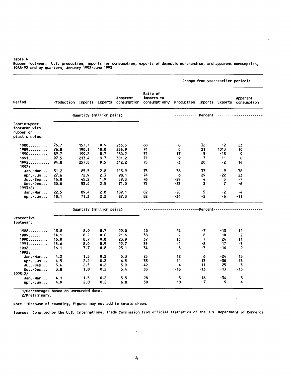Table 4

Rubber footwear: U.S. production, imports for consumption, exports of domestic merchandise, and apparent consunption, 1988-92 and by quarters, January 1992-June 1993

|                                                              |      |       |                          |                                                    |                                         |                            |                  | Change from year-earlier period1/ |                         |
|--------------------------------------------------------------|------|-------|--------------------------|----------------------------------------------------|-----------------------------------------|----------------------------|------------------|-----------------------------------|-------------------------|
| Period                                                       |      |       |                          | Apparent<br>Production Imports Exports consumption | Ratio of<br>imports to<br>consumption1/ | Production Imports Exports |                  |                                   | Apparent<br>consumption |
|                                                              |      |       | Quantity (million pairs) |                                                    |                                         |                            | Percent-         |                                   |                         |
| Fabric-upper<br>footwear with<br>rubber or<br>plastic soles: |      |       |                          |                                                    |                                         |                            |                  |                                   |                         |
| 1988                                                         | 76.7 | 157.7 | 0.9                      | 233.5                                              | 68                                      | 8                          | 32               | 12                                | 23                      |
| 1989                                                         | 76.8 | 190.1 | 10.0                     | 256.9                                              | 74                                      | 0                          | 21               | 1013                              | 10                      |
| 1990                                                         | 89.7 | 199.2 | 8.7                      | 280.2                                              | 71                                      | 17                         | 5.               | -13                               | 9                       |
| 1991                                                         | 97.5 | 213.4 | 9.7                      | 301.2                                              | 71                                      | 9                          | $\overline{7}$   | 11                                | 8                       |
| 1992<br>1992:                                                | 94.8 | 257.0 | 9.5                      | 342.2                                              | 75                                      | $-3$                       | 20               | -2                                | 14                      |
| Jan.-Mar                                                     | 31.2 | 85.5  | 2.8                      | 113.9                                              | 75                                      | 36                         | 37               | 9                                 | 38                      |
| Apr.-Jun                                                     | 27.6 | 72.9  | 2.3                      | 98.1                                               | 74                                      | 6                          | 29               | -22                               | 23                      |
| Jul.-Sep                                                     | 16.0 | 45.2  | 1.9                      | 59.3                                               | 76                                      | -29                        | 4                | 3                                 | -7                      |
| $Oct.-Dec$<br>1993:27                                        | 20.0 | 53.4  | 2.5                      | 71.0                                               | 75                                      | -23                        | 3                | $\overline{7}$                    | -6                      |
| Jan.-Mar                                                     | 22.5 | 89.4  | 2.8                      | 109.1                                              | 82                                      | $-28$                      | 5                | $-2$                              | -4                      |
| Apr.-Jun                                                     | 18.1 | 71.3  | 2.2                      | 87.3                                               | 82                                      | -34                        | $-2$             | -6                                | $-11$                   |
|                                                              |      |       | Quantity (million pairs) |                                                    |                                         |                            | -----Percent---- |                                   |                         |
| Protective<br>footwear:                                      |      |       |                          |                                                    |                                         |                            |                  |                                   |                         |
| 1988                                                         | 13.8 | 8.9   | 0.7                      | 22.0                                               | 40                                      | 24                         | -7               | -13                               | 11                      |
| 1989                                                         | 14.1 | 8.2   | 0.6                      | 21.6                                               | 38                                      | $\overline{c}$             | -8               | $-10$                             | $-2$                    |
| 1990                                                         | 16.0 | 8.7   | 0.8                      | 23.9                                               | 37                                      | 13                         | $\overline{7}$   | 24                                | 11                      |
| 1991                                                         | 15.6 | 8.0   | 0.9                      | 22.7                                               | 35                                      | $-2$                       | -8               | 17                                | -5                      |
| 1992                                                         | 16.1 | 7.7   | 0.8                      | 23.1                                               | 34                                      | 3                          | -3               | $-16$                             | $\overline{c}$          |
| 1992:                                                        |      |       |                          |                                                    |                                         |                            |                  |                                   |                         |
| Jan.-Mar                                                     | 4.2  | 1.3   | 0.2                      | 5.3                                                | 25                                      | 12                         | 6                | -24                               | 13                      |
| Apr.-Jun                                                     | 4.5  | 2.2   | 0.2                      | 6.5                                                | 33                                      | 11                         | 13               | -30                               | 13                      |
| Jul.-Sep                                                     | 3.6  | 2.5   | 0.2                      | 5.9                                                | 42                                      | 4                          | - 11             | 25                                | $-3$                    |
| Oct.-Dec<br>1993:2/                                          | 3.8  | 1.8   | 0.2                      | 5.4                                                | 33                                      | - 13                       | - 13             | - 13                              | $-13$                   |
| Jan.-Mar                                                     | 4.1  | 1.5   | 0.2                      | 5.5                                                | 28                                      | $-3$                       | 16               | - 34                              | 3                       |
| Apr.-Jun                                                     | 4.9  | 2.0   | 0.2                      | 6.8                                                | 30                                      | 10                         | -7               | 9                                 | 4                       |

1/Percentages based on unrounded data.

2/Prel iminary.

Note.--Because of rounding, figures may not add to totals shown.

source: Compiled by the U.S. International Trade Commission from official statistics of the U.S. Department of Commerce

 $\mathcal{L}$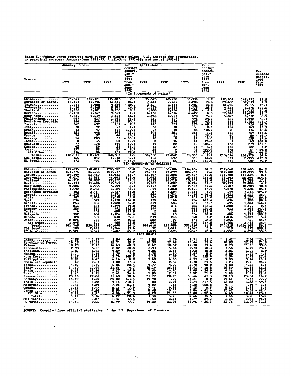|                                                          | January-June--      |                     |                     | $Per-$<br>centage                                                 | April-June--              |                      |                    | Per-<br>centage                                                   |                         |                       |                                                    |
|----------------------------------------------------------|---------------------|---------------------|---------------------|-------------------------------------------------------------------|---------------------------|----------------------|--------------------|-------------------------------------------------------------------|-------------------------|-----------------------|----------------------------------------------------|
| Source                                                   | 1991                | 1992                | 1993                | change,<br>Jan.-<br>June<br>1993<br>from<br>Jan.-<br>June<br>1992 | 1991                      | 1992                 | 1993               | change,<br>Арг.-<br>June<br>1993<br>from<br>Арг.-<br>June<br>1992 | 1991                    | 1992                  | Per-<br>centage<br>change,<br>1992<br>from<br>1991 |
|                                                          |                     |                     |                     | 11n                                                               | thousands of pairs)       |                      |                    |                                                                   |                         |                       |                                                    |
| China<br>Republic of Korea.                              | 76,877              | 107,721             | 115,863             | 7.6                                                               | 35,523                    | 49,408               | 50,336             | 1.9                                                               | 132.001                 | 162,972<br>32,519     | 23.5                                               |
| Taiwan                                                   | 15,171<br>7,212     | 17,746<br>5,488     | 13,552<br>4,393     | 23.6<br>$\blacksquare$<br>20.0                                    | 7,365<br>3,374            | 7,789<br>2,361       | 6,285<br>1,987     | 19.3<br>$\blacksquare$<br>15.8                                    | 29,686<br>12,784        | 9,555                 | 9.5<br>25.3                                        |
| Indonesia                                                | 2,014               | 4,345               | 5,513               | 26.9                                                              | 1,179                     | 2,211                | 2,775              | 25.5                                                              | 4,381                   | 8,875                 | 102.6                                              |
| Thailand                                                 | 3,850               | 5,981               | 5,950               | 0.5<br>$\blacksquare$                                             | 1,858                     | 2,924                | 2,634              | 9.9                                                               | 7,661                   | 10,023                | 30.8                                               |
| Nexico<br>Hong Kong<br>Philippines<br>Dominican Republic | 8,150               | 9,367<br>4,539      | 9,524<br>1,576      | 1.7<br>65.3<br>۰.                                                 | 4,132<br>1,935            | 4,374<br>2,023       | 4,627<br>498       | 5.8<br>75.4                                                       | 17,518                  | 19,477                | 11.2                                               |
|                                                          | 3,519<br>447        | 617                 | 1,029               | 66.8                                                              | 260                       | 397                  | 495                | 24.7                                                              | 5,873<br>857            | 6,372<br>1,442        | 8.5<br>68.3                                        |
|                                                          | 164                 | 840                 | 1,512               | 80.0                                                              | 155                       | 596                  | 857                | 43.8                                                              | 566                     | 2,953                 | 421.7                                              |
| <br> taly<br> taly<br> Spain<br> Brazil                  | 342                 | 497                 | 451                 | 9.3                                                               | 140                       | 329                  | 178                | 45.9                                                              | 539                     | 726                   | 34.7                                               |
|                                                          | 70<br>32            | 92<br>47            | 93<br>127           | 1.1<br>170.2                                                      | 36<br>23                  | 38<br>10             | 38<br>83           | 0.0<br>730.0                                                      | 124<br>98               | 143<br>116            | 15.3<br>18.4                                       |
|                                                          | 151                 | 448                 | 546                 | 21.9                                                              | 146                       | 281                  | 286                | 1.8                                                               | 355                     | 769                   | 116.6                                              |
| France<br>Germany                                        | 36                  | 37                  | 44                  | 18.9                                                              | 18                        | 12                   | 21                 | 75.0                                                              | 60                      | 50                    | - 16.7                                             |
|                                                          | 16<br>Ω             | 205                 | 33<br>50            | 83.9<br>42.9                                                      | 10                        | $\mathbf{o}$         | 19                 | 0.0                                                               | 21                      | 235                   | 19.0                                               |
| India<br>Malaysia                                        | 77                  | 35<br>178           | 160                 | $-10.1$                                                           | o<br>14                   | 34<br>22             | 41<br>45           | 20.6<br>104.5                                                     | 136                     | 43<br>279             | 200.0<br>105.1                                     |
| Canada                                                   | 43                  | 39                  | 53                  | 35.9                                                              | 32                        | 27                   | 26                 | 3.7                                                               | 126                     | 122                   | -3.2<br>$\,$ $\,$                                  |
| Japan<br>All Other                                       | 137                 | 53                  | 50                  | 5.7                                                               | 58                        | ۰                    | 45                 | 400.0                                                             | 178                     | 64                    | $\overline{\phantom{0}}$<br>64.0                   |
|                                                          | 118, 531            | 84<br>158,371       | 15)<br>160,687      | 79.8                                                              | ō1<br>56.358              | 72,862               | 43<br>71.333       | <u>377.8</u><br>2.1                                               | <u>420</u><br>213.394   | 234<br>254,978        | $\frac{44.3}{20.4}$                                |
| Total<br>$CDI$ total                                     | 165                 | 842                 | 1,518               | 80.3                                                              | 156                       | 597                  | 862                | 44.4                                                              | 571                     | 2,955                 | 417.5                                              |
| EC total                                                 | 172                 | 402                 | 330                 | 17.9                                                              | 101                       | 65                   | 169                | 160.0                                                             | 331                     | 580                   | 75.2                                               |
|                                                          |                     |                     |                     |                                                                   | IIn thousands of dollars. |                      |                    |                                                                   |                         |                       |                                                    |
| $China$                                                  | 119,695             | 190,811             | 297,602             | 56.0                                                              |                           |                      |                    |                                                                   | 212,848                 | 328,400               | 54.3                                               |
| Republic of Korea.                                       | 153,775             | 206,333             | 212,937             | 3.2                                                               | 56,209<br>76,571          | 88,304<br>97,299     | 136,464<br>104,737 | 54.5<br>7.6                                                       | 312,708                 | 415,935               | 33.0                                               |
| Taiwan                                                   | 59,149              | 53,430              | 63,423              | 18.7                                                              | 28,607                    | 25,008               | 29,377             | 17.5                                                              | 111,708                 | 111,623               | $\ddot{\mathbf{0}}$ . 1                            |
| Indonesia<br>Thailand                                    | 6,017<br>14,912     | 22,833<br>20,837    | 46,442<br>27,322    | 103.4<br>31.1                                                     | 3,463<br>7,533            | 12,089<br>10,719     | 25,812<br>13,401   | 113.5<br>25.0                                                     | 15,542<br>29,394        | 55,095                | 254.5<br>27.1                                      |
| Mexico                                                   | 14,193              | 15,604              | 17,049              | 9.3                                                               | 7,263                     | 7,887                | 8,774              | 11.2                                                              | 32,953                  | 37, 358<br>35, 006    | 6.2                                                |
| Hong Kong<br>Philippines                                 | 4,486               | 6,435               | 5,904               | - 8.3                                                             | 2,197                     | 3,182                | 2,623              | 17.6                                                              | 7,907                   | 10,908                | 38.0                                               |
|                                                          | 1,592               | 2,730               | 4,289               | 57.1                                                              | 899                       | 1,860                | 2,175              | 16.9                                                              | 3,070                   | 5,684                 | 85.1                                               |
| Dominican Republic<br>Israel                             | 102<br>1,393        | 2,414<br>2,136      | 2,727<br>2,371      | 13.0<br>11.0                                                      | 87<br>669                 | 1,504<br>1,342       | 1,533<br>1,016     | 1.9<br>24.3                                                       | 699<br>2,632            | 7,165<br>3,327        | 925.0<br>26.4                                      |
| Italy<br>Spain<br>Brazil                                 | 987                 | 1,904               | 2,015               | 5.8                                                               | 547                       | 1,019                | 909                | - 10.8                                                            | 2.046                   | 3,270                 | 59.8                                               |
|                                                          | 296                 | 524                 | 1,178               | 124.8                                                             | 175                       | 144                  | 754                | 423.6                                                             | 634                     | 955                   | 50.6                                               |
| France                                                   | 243<br>833          | 859<br>846          | 1,428<br>1,394      | 66.2<br>64.B                                                      | 219<br>392                | 583<br>243           | 721<br>686         | 23.7<br>182.3                                                     | 695<br>1,208            | 1,841<br>1,177        | 164.9<br>2.6                                       |
|                                                          | 256                 | 337                 | 792                 | 135.0                                                             | 199                       | 6                    | 441                | 250.0                                                             | 412                     | 1,018                 | 147.1                                              |
| Germany<br>India<br>Halaysia                             |                     | 101                 | 458                 | 353.5                                                             | 2                         | 99                   | 379                | 282.8                                                             | 12                      | 210                   | 650.0                                              |
|                                                          | 352                 | 684                 | 1,126               | 64.6                                                              | 56                        | 15                   | 324                | 60.0                                                              | 604                     | 1,211                 | 100.5                                              |
| Canada                                                   | 328<br>2,026        | 350<br>242          | 438<br>279          | 25.1<br>15.3                                                      | 239<br>502                | 248<br>90            | 240<br>173         | 3.2<br>92.2                                                       | 1,034<br>2,256          | 1,090<br>308          | 5.4<br>86.3<br>$\blacksquare$                      |
| Japan<br>All Other                                       | 1,095               | 800                 | 988                 |                                                                   | 569                       | 189                  | 430                | 27                                                                |                         | 451                   | 25.                                                |
| Total                                                    | 381,745             | 530,219             | 690,468             | $\frac{23.5}{30.2}$                                               | 186,410                   | 251,839              | 331,126            | 31.5                                                              | <u>1,955</u><br>740,325 | 1,024,039             | 38.3                                               |
| $CDI total$                                              | 108                 | 2,422<br>3,847      | 2,746<br>5,607      | 13.4                                                              | 92<br>1,435               | 1,511<br>1,493       | 1,547<br>2,867     | 2.4<br>92.0                                                       | 719<br>4,557            | 7,176                 | 898.1                                              |
| <u>EC totalummum</u>                                     | 2,521               |                     |                     | <u>45.7</u>                                                       | (per pair)                |                      |                    |                                                                   |                         | 6,987                 | 53.3                                               |
|                                                          |                     |                     |                     |                                                                   |                           |                      |                    |                                                                   |                         |                       |                                                    |
| China <sub>:</sub> <u>.</u> . <u>.</u>                   | 1.55<br>10.13       | 1.77<br>11.62       | 2.56<br>15.71       | 44.6<br>35.2                                                      | 1.58                      | 1.78                 | 2.71<br>16.66      | 52.2                                                              | 1.61<br>10.53           | 2.01<br>12.79         | 24.8<br>21.5                                       |
| Republic of Korea.                                       | 8.20                | 9.73                | 14.43               | 48.3                                                              | $10.39$<br>8.47           | 12.49<br>10.59       | 14.78              | $33.4$<br>39.6                                                    | 8.73                    | 11.68                 | 33.8                                               |
| Taiwan<br>Indonesia<br>Thailand                          | 2.98                | 5.25                | 8.42                | 60.4                                                              | 2.93                      | 5.46                 | 9.30               | 70.3                                                              | 3.54                    | 6.20                  | $\frac{75.1}{2.9}$                                 |
|                                                          | 3.87                | 3.48                | 4.59                | 31.9                                                              | 4.05                      | 3.66                 | 5.08               | 38.8                                                              | 3.83                    | 3.72                  |                                                    |
| Mexico                                                   | 1.74<br>1.27        | 1.66<br>1.41        | 1.79<br>3.74        | 7.8<br>165.2                                                      | 1.75<br>1.13              | 1.80<br>1.57         | 1.89<br>5.26       | 5.0<br>235.0                                                      | 1.88<br>1.34            | 1.79<br>1.71          | 4.8<br>27.6                                        |
|                                                          | 3.56                | 4.42                | 4.16                | 5.9                                                               | 3.45                      | 4.68                 | 4.39               | 6.2                                                               | 3.58                    | 3.94                  | 10.1                                               |
| Hong Kong<br>Philippines<br>Dominican Republic           | 62                  | 2.87                | 1.80                | - 37.3                                                            | 56                        | 2.52                 | 1.78               | 29.4                                                              | 1.23                    | 2.42                  | 96.7                                               |
|                                                          | 4.07                | 4.29                | 5.25                | 22.4<br>4.7                                                       | 4.77<br>15.19             | 4.07<br>26.81        | 5.70<br>23.9Z      | 40.0                                                              | 4.88                    | 4.58                  | 6.1                                                |
| <b>Example:</b><br><b>Italy</b><br>Spain<br>Brazil       | 14.10<br>9.25       | 20.69<br>11.14      | 21.66<br>9.27       | 16.8                                                              | 7.60                      | 14.40                | 9.08               | 10.8<br>36.9                                                      | 16.50<br>6.46           | 22.86<br>8.23         | 38.5<br>27.4                                       |
|                                                          | 1.60                | 1.91                | 2.61                | 36.6                                                              | 1.50                      | 2.07                 | 2.52               | 21.7                                                              | 1.95                    | 2.39                  | 22.6                                               |
| France<br>Germany                                        | 23.13               | 22.86               | 31.68               | 38.6                                                              | 21.77                     | 20.25                | 32.66              | 61.3                                                              | 20.13                   | 23.54                 | 16.9                                               |
|                                                          | 16.00<br>.00        | 1.64<br>2.88        | 24.00<br>9.16       | 363.4<br>218.1                                                    | 19.90<br>.00              | .00<br>2.91          | 23.21<br>9.24      | 0.0<br>217.5                                                      | 19.61<br>12.00          | 4.33<br>4.88          | 77.9<br>59.3<br>$\sim$                             |
|                                                          | 4.57                | 3.84                | 7.03                | 83.1                                                              | 4.00                      | . 68                 | 7.20               | 958.8                                                             | 4.44                    | 4.34                  | 2.3                                                |
| India<br>Malaysia<br>Canada                              | 7.62                | 8.97                | 8.26                | 7.9                                                               | 7.46                      | 9.18                 | 9.23               | 0.5                                                               | 8.20                    | 8.93                  | 8.9                                                |
| Japan<br>All Other                                       | 14.78               | 4.56                | 5.58                | 22.4                                                              | 8.65                      | 10.00                | 3.84               | 61.6                                                              | 12.67                   | 4.81                  | 62.0                                               |
| $Total$                                                  | $\frac{5.11}{3.22}$ | $\frac{9.52}{3.34}$ | $\frac{6.54}{4.29}$ | <u>31.3</u><br>28.4                                               | $\frac{6.25}{3.30}$       | <u>21.00</u><br>3.45 | 10,00<br>4.64      | <u> 동. \$</u>                                                     | <u>4.65</u><br>3.46     | 1 <u>9.47</u><br>3.98 | <u>125.2</u><br>15.0                               |
| $CDI$ total                                              | .65                 | 2.87                | 1.80                | 37.3                                                              | . 58                      | 2.53                 | 1.79               | 29.2<br>$\blacksquare$                                            | 1.25                    | 2.42                  | 93.6                                               |
| $EC$ total                                               | 14.65               | 9.56                | 16.99               | 77.7                                                              | 14.20                     | 22.96                | 16.96              | 26.1                                                              | 13.76                   | 12.04                 | $\blacksquare$<br>12.5                             |

### Table 5.--Fabric upper footwear with rubber or plastic soles: U.S. imports for consumption, by principal sources, January-June 1991-93, April-June 1991-93, and annual 1991-92

 $SOWRCE:$  Compiled from official statistics of the U.S. Department of Commerce.

 $\sim$   $\sim$ 

 $\mathcal{L}^{\text{max}}_{\text{max}}$  ,  $\mathcal{L}^{\text{max}}_{\text{max}}$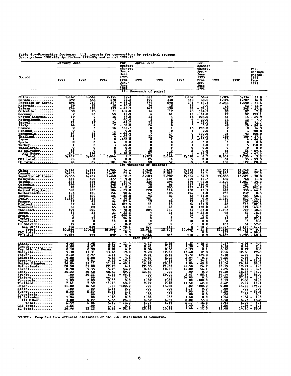| Table 6.--Protective footwear: U.S. imports for consumption, by principal sources, |  |  |  |
|------------------------------------------------------------------------------------|--|--|--|
| January-June 1991-93, April-June 1991-93, and annual 1991-92                       |  |  |  |

| January-June--                       |               |                | $Per-$<br>centage       | <b>April-June--</b>                                               |                            |                     | $Per-$<br>centage |                                                                   |                |                   |                                                    |
|--------------------------------------|---------------|----------------|-------------------------|-------------------------------------------------------------------|----------------------------|---------------------|-------------------|-------------------------------------------------------------------|----------------|-------------------|----------------------------------------------------|
| Source                               | 1991          | 1992           | 1993                    | change,<br>Jan.-<br>June<br>1993<br>from<br>Jan.-<br>June<br>1992 | 1991                       | 1992                | 1993              | change,<br>Apr.-<br>June<br>1993<br>from<br>Apr.-<br>June<br>1992 | 1991           | 1992              | Per-<br>centage<br>change,<br>1992<br>from<br>1991 |
|                                      |               |                |                         | (In)                                                              | thousands of pairs)        |                     |                   |                                                                   |                |                   |                                                    |
| China<br>Canada                      | 1,167<br>392  | 1,564          | 2,195<br>678            | 40. 3<br>22.2                                                     | 567<br>199                 | 727<br>338          | 1,137<br>468      | 56.4<br>38.5                                                      | 2,924<br>1,124 | 3,736<br>1,287    | 27.B<br>14.5                                       |
| <b>Republic of Korea.</b>            | 896           | 555<br>767     | 297                     | $-61.3$                                                           | 779                        | 690                 | 246               | 64.3                                                              | 2,244          | 1,540             | 31.4<br>$\sim$                                     |
| Malaysia                             | 39<br>246     | 35<br>196      | 28<br>113               | $-20.0$<br>- 42.3                                                 | 14<br>147                  | 15<br>139           | 15<br>36          | 0.0<br>74.1<br>$\blacksquare$                                     | 72             | 62                | 13.9<br>$\blacksquare$                             |
| Taiwan<br>Colombia                   | 30            | 25             | 71                      | 184.0                                                             | 16                         | 17                  | 45                | 164.7                                                             | 475<br>53      | 343<br>57         | $-27.8$<br>7.5                                     |
| Germany                              | 7             | 46             | 54                      | 17.4                                                              | 6                          | 41                  | 16                | $-61.0$                                                           | 22             | 57                | 159.1                                              |
| United Kingdom<br>Netherlands        | 19<br>6       | 9<br>š         | 16<br>7                 | 77.B<br>40.0                                                      | 13<br>3                    | 4<br>5              | 13<br>4           | 225.0                                                             | 41             | 14                | $-65.9$<br>$\overline{\phantom{a}}$                |
| Israel                               | 21            | 17             | 24                      | 41.2                                                              | 11                         | 8                   | $\mathbf{z}$      | - 20.0<br>75.0<br>۰                                               | 13<br>33       | 12<br>57          | - 7.7<br>72.7                                      |
| Italy                                | 44            | 4              | $\overline{\mathbf{z}}$ | $-50.0$                                                           | 24                         | O                   | o                 | 0.0                                                               | 65             | 28                | 56.9                                               |
| France                               | o<br>۰        | 3<br>۰         | 14                      | 366.7                                                             | o<br>$\bullet$             | 1                   | 13                | 200.0                                                             |                | 8                 | 14.3                                               |
| <b>Finland</b><br><b>Venezuela</b>   | 14            | 28             | 1<br>15                 | 0.0<br>$-46.4$                                                    | $\overline{ }$             | o<br>14             | - 1<br>۰          | 0.0<br>$-100.0$                                                   | л<br>21        | 3<br>42           | 200.0<br>100.0                                     |
| Thailand                             | 41            | 27             | 4                       | $-85.2$                                                           | 22                         | 20                  | 2                 | - 90.0                                                            | 159            | 100               | $-37.1$                                            |
| Japan                                | 1<br>o        | $\mathbf{z}$   | $\bullet$               | $-100.0$                                                          | $\bullet$                  | 2                   | ۰                 | $-100.0$                                                          | 10             | 4                 | $-60.0$                                            |
| <b>Spain</b><br>Turkey               | 1             | ۰<br>2         | 3                       | 0.0<br>50.0                                                       | $\bullet$<br>0             | o<br>۰              | л                 | 0.0<br>0.0                                                        | o              | o<br>5            | 0.0<br>150.0                                       |
| Yugoslavia                           | o             | o              | ۰                       | 0.0                                                               | 0                          | o                   | o                 | 0.0                                                               | Ω              | o                 | 0.0                                                |
| <b>El Salvador</b>                   | 25            | o              | 5                       | 0.0                                                               | 25                         | o                   | 5                 | 0.0                                                               | 81             |                   | $33 - 59.3$                                        |
| All Other<br><b>Total</b>            | 09<br>3,167   | - 194<br>3,486 | 3,546                   | 98<br>5<br>1.7                                                    | $\frac{82}{22}$            | 2,164               | 2,018             | 99<br>6.7<br>-                                                    | 644<br>8,001   | 341<br>7,738      | $-47.0$<br>3.3<br>$\bullet$                        |
| <b>CBI total</b>                     | 25            | ۰              | 5                       | 0.0                                                               | 25                         | o                   | 5                 | 0.0                                                               | 81             | 33                | $-59.3$                                            |
| E <u>C total</u>                     | 78            | 69             | 101                     | 46, 4                                                             | 48                         |                     | 54                | 3.8                                                               | 150            | 120               | $-20.0$                                            |
|                                      |               |                |                         |                                                                   | (In thousands of dollars)  |                     |                   |                                                                   |                |                   |                                                    |
| China                                | 5,216         | 6,179          | 7,700                   | 24.6                                                              | 2,365                      | 2,872               | 3,673             | 27.9                                                              | 12,503         | 15,245            | 21.9                                               |
| Canada                               | 3,453         | 4,479          | 5,437                   | 21.4                                                              | 1,714                      | 2,596               | 3,455             | 33.1                                                              | 9,280          | 10,890            | 17.3                                               |
| Republic of Korea.<br>Malaysia       | 7,333<br>366  | 6,409<br>396   | 2,648<br>377            | 58.7<br>٠<br>4.8                                                  | 6,503<br>137               | 5,787<br>181        | 2,066<br>204      | 64.3<br>$\bullet$<br>12.7                                         | 19,535<br>687  | 13,521<br>768     | 30.8<br>$\blacksquare$<br>11.8                     |
| Taiwan                               | 571           | 584            | 352                     | $-39.7$                                                           | 326                        | 293                 | 170               | 42.0                                                              | 1,607          | 1,057             | $\blacksquare$<br>34.2                             |
| Colombia                             | 144           | 127            | 345                     | 171.7                                                             | 78                         | 86                  | 227               | 164.0                                                             | 242            | 284               | 17.4                                               |
| Germany                              | 76<br>320     | 360<br>262     | 340<br>186              | - 5.6<br>$-29.0$                                                  | 60<br>220                  | 300<br>114          | 157<br>128        | - 47.7<br>12.3                                                    | 236<br>626     | 478<br>338        | 102.5<br>$-46.0$                                   |
| United Kingdom<br><b>Netherlands</b> | 123           | 105            | 156                     | 48.6                                                              | 67                         | 105                 | 106               | 1.0                                                               | 262            | 239               | 8.8<br>$\overline{\phantom{a}}$                    |
| Israel                               | 187           | 159            | 126                     | 20.8<br>$\blacksquare$                                            | 93                         | 82                  | 32                | 61.0                                                              | 305            | 483               | 58.4                                               |
| Italy<br><b>France</b>               | 1,550<br>27   | 122<br>61      | 97<br>96                | 20.5<br>57.4                                                      | 781<br>13                  | 0<br>39             | 26<br>73          | 0.0<br>87.2                                                       | 2,230<br>99    | 520<br>207        | 76.7<br>$\blacksquare$<br>109.1                    |
| <b>Finland</b>                       | 27            | 16             | 46                      | 187.5                                                             | 11                         | 13                  | 34                | 161.5                                                             | 40             | 113               | 182.5                                              |
| <b>Venezuela</b>                     | 26            | 80             | 45                      | - 43.8                                                            | 11                         | 40                  | o                 | -100.0                                                            | 46             | 121               | 163.0                                              |
| <b>Thailand</b>                      | 304<br>11     | 205            | 45                      | $-78.0$<br>- 33.3                                                 | 204<br>4                   | 142                 | 23<br>12          | - 83.8                                                            | 1,053          | 729<br>57         | 30.8                                               |
| Japan<br><b>Spain</b>                | o             | 33<br>п        | 22<br>19                | 800.0                                                             | o                          | 26<br>۰             | 19                | 53.8<br>0.0                                                       | 48<br>o        | п                 | 18.8<br>0.0                                        |
| Turkey                               | 8             | 11             | 17                      | 54.5                                                              | ۰                          | 5                   | 7                 | 40.0                                                              | 19             | 30                | 57.9                                               |
| <b>Yugoslavia</b>                    | O             | o<br>o         | 10<br>7                 | 0.0<br>0.0                                                        | o                          | o<br>o              | 10                | 0.0                                                               | o              | o                 | 0.0                                                |
| $E1$ Salvador<br>All Other           | 39<br>795     | 830            | 16                      | 98.1                                                              | 39<br>77                   | 617                 | в                 | 0.0<br>98.7                                                       | 127<br>.567    | <u> 614.</u>      | 51 -<br>59.8<br>ل 37<br>$\overline{\phantom{a}}$   |
| <b>Total</b>                         | 20,584        | 20,428         | 18,099                  | 11.4                                                              | 13,012                     | 13,306              | 10,445            | 21.5                                                              | 51,520         | 46,755            | 9.2<br>$\qquad \qquad \blacksquare$                |
| <b>CBI</b> total                     | 39            | o              |                         | 0.0                                                               | 39                         | o                   |                   | 0.0                                                               | 127            |                   | $51 - 59.8$                                        |
| E <u>C total</u>                     | 2,103         | 913            | 897                     | 1.8                                                               | <u>1,144</u><br>(per pair) | <u>560</u>          | 510               | 8,9                                                               | 3,462          |                   | $1,788 - 48.4$                                     |
|                                      |               |                |                         |                                                                   |                            |                     |                   |                                                                   |                |                   |                                                    |
| China<br>Canada                      | 4.46<br>8.80  | 3.95<br>8.07   | 3.50<br>8.01            | - 11.4<br>0.7<br>-                                                | 4.17<br>8.61               | 3.95<br>7.68        | 3.23<br>7.38      | 18.2<br>۰.<br>3.9                                                 | 4.27<br>8.25   | 4.08<br>8.46      | 4.4<br>$\blacksquare$<br>2.5                       |
| <b>Republic of Korea.</b>            | 8.18          | 8.35           | 8.91                    | 6.7                                                               | 8.34                       | 8.38                | 8.39              | 0.1                                                               | 8.70           | 8.77              | 0.8                                                |
| Malaysia                             | 9.38          | 11.31          | 13.46                   | 19.0                                                              | 9.78                       | 12.06               | 13.60             | 12.8                                                              | 9.54           | 12.38             | 29.8                                               |
| Taiwan<br>Colombia                   | 2.32<br>4.80  | 2.97<br>5.08   | 3.11<br>4.85            | 4.7<br>4.5<br>-                                                   | 2.21<br>4.87               | 2.10<br>5.05        | 4.72<br>5.04      | 124.8<br>0.2<br>$\overline{\phantom{0}}$                          | 3.38<br>4.56   | 3.08<br>4.98      | 8.9<br>$\overline{\phantom{0}}$<br>9.2             |
| Germany                              | 10.85         | 7.82           | 6.29                    | $-19.6$                                                           | 10.00                      | 7.31                | 9.81              | 34.2                                                              | 10.72          | 8.38              | 21.8<br>۰                                          |
| United Kingdom                       | 16.84         | 29.11          | 11.62                   | 60.1<br>$\overline{\phantom{0}}$                                  | 16.92                      | 28.50               | 9.84              | 65.5<br>$\bullet$                                                 | 15.26          | 24.14             | 58.2                                               |
| <b>Netherlands</b><br>Israel         | 20.50<br>8.90 | 21.00<br>9.35  | 22.28<br>5.25           | 6.1<br>$-43.9$                                                    | 22.33<br>8.45              | 21.00<br>10.25      | 26.50<br>16.00    | 26.Z<br>56.1                                                      | 20.15<br>9.24  | 19.91<br>$8.47 -$ | 1.2<br>$\blacksquare$<br>8.3                       |
| Italy                                | 35.22         | 30.50          | 48.50                   | 59.0                                                              | 32.54                      | .00                 | .00               | 0.0                                                               | 34.30          |                   | $18.57 - 45.9$                                     |
| France                               | .00           | 20.33          | 6.85                    | - 66.3                                                            | .00                        | 39.00               | 5.61              | - 85.6                                                            | 14.14          | 25.87             | 83.0                                               |
| Finland                              | .00           | .00<br>2.85    | 46.00                   | 0.0<br>5.3                                                        | .00<br>1.57                | .00                 | 34.00<br>.00      | $\bf{0.0}$<br>$-100.0$                                            | 40.00<br>2.19  |                   | $37.66 - 5.9$<br>31.5                              |
| Venezuela<br><b>Thailand</b>         | 1.85<br>7.41  | 7.59           | 3.00<br>11.25           | 48.2                                                              | 9.27                       | 2.85<br>7.10        | 11.50             | 62.0                                                              | 6.62           | 2.88<br>7.29      | 10.1                                               |
| Japan                                | 11.00         | 16.50          | $\cdot$ 00              | $-100.0$                                                          | .00                        | 13.00               | .00               | $-100.0$                                                          | 4.80           |                   | 14.25 196.9                                        |
| Spain                                | .00           | .00            | 3.16                    | 0.0                                                               | .00                        | .00                 | 3.16              | 0.0                                                               | .00            | .00               | 0.0                                                |
| Turkey<br>Yugoslavia                 | 8.00<br>.00   | 5.50<br>.00    | 5.66<br>.00             | 2.9<br>0.0                                                        | .00<br>.00                 | .00<br>.00          | 7.00<br>.00       | 0.0<br>0.0                                                        | 9.50<br>.00    |                   | $6.00 - 36.8$<br>$.00\qquad 0.0$                   |
| <b>El<sup>-</sup>Salvador</b>        | 1.56          | .00            | 1.40                    | 0.0                                                               | 1.56                       | .00                 | 1.40              | 0.0                                                               | 1.56           |                   | $1.54 - 1.3$                                       |
| All Other                            | <u>3.80</u>   | 3.27           | $\frac{5.33}{5.10}$     | <del>- 24.8</del><br>- 13.0                                       | $\frac{4.59}{6.76}$        | $\frac{4.50}{6.14}$ | 8.00              | 77.8<br>$-15.8$                                                   | <u>3.98</u>    | <u>4.73 </u>      | <u>18.8</u>                                        |
| Total<br><b>CBI</b> total            | 6.49<br>1.56  | .00.           | 1.40                    | 0.0                                                               | 1.56                       | .00                 | 5.17<br>1.40      | 0.0                                                               | 6.43<br>1.56   |                   | $6.04 - 6.1$<br>$1.54 - 1.3$                       |
| EC total                             | 26.96         | 13.23          | 8.88                    | $-32.9$                                                           | 23.83                      | 10.76               | 9.44              | $-12.3$                                                           | 23.08          |                   | $14.90 - 35.4$                                     |

 $\sim 10^{11}$ 

SOURCE: Compiled from official statistics of the U.S. Department of Commerce.

 $\mathcal{L}^{\text{max}}_{\text{max}}$  , where  $\mathcal{L}^{\text{max}}_{\text{max}}$ 

**Contract Contract State** 

 $\mathcal{L}^{\mathcal{L}}(\mathcal{L}^{\mathcal{L}})$  and  $\mathcal{L}^{\mathcal{L}}(\mathcal{L}^{\mathcal{L}})$  and  $\mathcal{L}^{\mathcal{L}}(\mathcal{L}^{\mathcal{L}})$ 

 $\mathcal{L}_{\text{max}}$  and  $\mathcal{L}_{\text{max}}$ 

 $\mathcal{L}^{(1)}$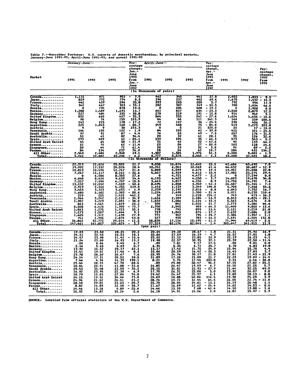## Table 7.--Nonrubber footwear: U.S. exports of domestic merchandise, by principal markets,<br>January-June 1991-93, April-June 1991-93, and annual 1991-92

 $\mathcal{L}^{\pm}$ 

 $\sim 10^7$ 

 $\sim 10^{-1}$ 

|                                                   | January-June--   |                  |                  |                                                                                      |                             | April-June--     | $Per-$<br>centage |                                                                            |                  |                  |                                                    |
|---------------------------------------------------|------------------|------------------|------------------|--------------------------------------------------------------------------------------|-----------------------------|------------------|-------------------|----------------------------------------------------------------------------|------------------|------------------|----------------------------------------------------|
| Market                                            | 1991             | 1992             | 1993             | centage<br>change,<br>Jan.-<br>June<br>1993<br>from<br>Jan.-<br>June<br>1992<br>TT T | 1991<br>thousands of pairs) | 1992             | 1993              | change.<br>Apr.-<br>June<br>1993<br>from<br>Apr.-<br>June<br><u> 1992 </u> | 1991             | 1992             | Per-<br>centage<br>change,<br>1992<br>from<br>1991 |
|                                                   |                  |                  |                  |                                                                                      |                             |                  |                   |                                                                            |                  |                  |                                                    |
| Canada                                            | 1,172            | 97I<br>772       | २०उ<br>774       | 7.0<br>۰<br>0.3                                                                      | 462<br>396                  | 345<br>237       | 441<br>402        | 27.8<br>69.6                                                               | 2,003<br>1,675   | 1,833            | 8.5<br>Ξ                                           |
| Japan                                             | 829<br>442       | 439              | 596              | 35.8                                                                                 | 203                         | 265              | 280               | 5.7                                                                        | 792              | 1,432<br>934     | $\overline{\phantom{a}}$<br>14.5<br>17.9           |
| France<br>Italy<br>Russia                         | 342              | 467              | 303              | 35.1                                                                                 | 202                         | 307              | 149               | 51.5<br>$\qquad \qquad \blacksquare$                                       | 708              | 1,034            | 46.0                                               |
|                                                   | o<br>1,288       | 734<br>1,489     | 878              | 19.6<br>13.7                                                                         | o<br>661                    | 604<br>827       | 488<br>634        | $-19.2$<br>$-23.3$                                                         | o<br>2,558       | 1,908            | 0.0                                                |
| Nexico<br>Germany<br>United Kingdom               | 527              | 484              | 1,693<br>335     | $-30.8$                                                                              | 278                         | 219              | 191               | $-12.8$                                                                    | 914              | 2,879<br>942     | 12.5<br>3.1                                        |
|                                                   | 852              | 660              | 427              | $-35.3$                                                                              | 564                         | 333              | 241               | - 27.6                                                                     | 1,624            | 1,454            | 10.5                                               |
| <b>Belgium</b>                                    | 98<br>143        | 76<br>215        | 155<br>178       | 103.9<br>$-17.2$                                                                     | 44<br>72                    | 46<br>127        | 111<br>96         | 141.3<br>$-24.4$                                                           | 169<br>298       | 339              | 100.6                                              |
| Hong Kong<br>Argentina                            | 225              | 1,043            | 160              | $-84.7$                                                                              | 149                         | 468              | 75                | $-84.0$                                                                    | 419              | 406<br>1,273     | 36.Z<br>203.8                                      |
| Austria                                           | q                | -9               | 30               | 233.3                                                                                | o                           | 5                | 21                | 320.0                                                                      | 20               | 17               | - 15.0                                             |
| <b>Venezuela</b>                                  | 106              | 155              | 152              | - 1.9                                                                                | 84<br>76                    | 103              | 62<br>49          | - 39.8<br>7.5                                                              | 425              | 321              | $-24.5$                                            |
| Saudi Arabia<br>Australia                         | 97<br>51         | 91<br>61         | 87<br>82         | -4.4<br>34.4                                                                         | 20                          | $\frac{53}{32}$  | 41                | 28.1                                                                       | 257<br>95        | 176<br>126       | $\blacksquare$<br>31.5<br>32.6                     |
| Spain                                             | 293              | 409              | 61               | $-85.1$                                                                              | 139                         | 104              | 35                | $-66.3$                                                                    | 573              | 543              | 5.2                                                |
| United Arab Emirat                                | 44               | 64               | 50               | - 21.9                                                                               | 31<br>25                    | 42<br>54         | $\frac{2}{27}$    | 47.6                                                                       | 91               | 133              | 46.2                                               |
| 6reece<br>Singapore                               | 51<br>50         | 70<br>64         | 62<br>71         | 11.4<br>61.4                                                                         | 30                          | 33               | 32                | 50.0<br>3.0                                                                | 103<br>91        | 118<br>89        | 14.6<br>2.2                                        |
| Panama                                            | 84               | 134              | 237              | 76.9                                                                                 | 28                          | 56               | 62                | 10.7                                                                       | 184              | 431              | 134.2                                              |
| All Other                                         | 2,549<br>262     | 2,486<br>10,882  | 2,960<br>10,206  | 19.1<br>6                                                                            | 1,302<br><u>4.777</u>       | 1,306<br>5,576   | 1,976<br>5,445    | 51.3<br>2.3                                                                | 5,100<br>18,108  | 5,001            | . 9<br>1<br>$\bullet$                              |
| Total                                             |                  |                  |                  |                                                                                      | (In thousands of dollars)   |                  |                   |                                                                            |                  | 21,401           | 18.2                                               |
|                                                   |                  |                  |                  |                                                                                      |                             |                  |                   |                                                                            |                  |                  |                                                    |
| Canada<br>Japan                                   | 22,313<br>19,992 | 22,826<br>17,332 | 25,501<br>20,524 | 11.7<br>18.4                                                                         | 9,538<br>10,241             | 10,074           | 12,645<br>10,569  | 25.5<br>61.6                                                               | 42,686<br>44,432 | 45,695<br>38,687 | 7.0<br>12.9                                        |
|                                                   | 10,819           | 10,496           | 12,767           | 21.6                                                                                 | 5,080                       | $6,541$<br>5,599 | 6,679             | 19.3                                                                       | 19,951           | 24,508           | 22.8                                               |
| France<br>Italy<br>Russia                         | 7,267<br>o       | 11,117           | 8,161<br>8,303   | 26.6<br>27.6                                                                         | 4,037                       | 6,929<br>4,721   | 4,613<br>4,477    | 33.4<br>$\qquad \qquad \blacksquare$<br>5.2                                | 17,982           | 23,274<br>17,199 | 29.4<br>0.0                                        |
| <u> Mexico.</u>                                   | 6,648            | 6,506<br>8,426   | 9,639            | 14.4                                                                                 | 4,193                       | 4,422            | 4,258             | 3.7<br>$\overline{\phantom{0}}$                                            | 14,603           | 19,678           | 34.8                                               |
|                                                   | 7,337            | 7,996            | 6,757            | - 15.5                                                                               | 3,663                       | 3,817            | 4,156             | 8.9                                                                        | 13,750           | 14,791           | 7.6                                                |
|                                                   | 13,132<br>2,919  | 12,552           | 7,459<br>4,755   | $-40.6$<br>119.5                                                                     | 8,494<br>1,142              | 6,858<br>1,139   | 3,959<br>3,349    | 42.3<br>194.0                                                              | 26,687<br>4,700  | 24,764<br>7,268  | 7.2<br>54.6                                        |
| Cernany<br>United Kingdom<br>Belgium<br>Hong Kong | 3,453            | 2,166<br>3,723   | 3,653            | - 1.9                                                                                | 2,239                       | 2,192            | 2,016             | 8.0                                                                        | 6,643            | 7,752            | 16.7                                               |
| Argentina                                         | 1,680            | 5,182            | 2,303            | $-55.6$                                                                              | 1,224                       | 2,690            | 1,308             | $-51.4$                                                                    | 3,911            | 8,235            | 110.6                                              |
| Austria<br><b>Venezuela</b>                       | 229<br>1,966     | 255<br>3,242     | 1,431<br>2,110   | 461.2<br>$-34.9$                                                                     | 32<br>1.416                 | 149<br>2,109     | 1,228<br>1,184    | 724.2<br>$-43.9$                                                           | 743<br>8.543     | 473<br>6,824     | 36.3<br>20.1                                       |
| Saudi Arabia                                      | 1,982            | 3,229            | 2,001            | $-38.0$                                                                              | 1,532                       | 1,686            | 1,124             | 33.3<br>۰                                                                  | 5,563            | 5,676            | 2.0                                                |
| Australia                                         | 863              | 1,461            | 1,829            | 25.2                                                                                 | 354                         | 842              | 1,025             | 21.7                                                                       | 2,273            | 3,286            | 44.6                                               |
| <b>Spain</b><br>United Arab Emirat                | 5,508<br>1,063   | 6,475<br>1,275   | 1,700<br>1,723   | $-73.7$<br>35.1                                                                      | 2,700<br>778                | 2,545<br>793     | 909<br>899        | $\bullet$<br>64.3<br>13.4                                                  | 11,400<br>2,121  | 9,850<br>3,219   | 13.6<br>51.8                                       |
| $G$ reece                                         | 1,273            | 1,507            | 1,644            | 9.1                                                                                  | 719                         | 1,065            | 876               | 17.7                                                                       | 2,632            | 2,684            | 2.0                                                |
| <b>Singapore</b>                                  | 1,405            | 1,312            | 1,678            | 27.9                                                                                 | 771                         | 942              | 794               | 15.7                                                                       | 2,384            | 2,357            | 1.1                                                |
| Panama<br>All Other                               | 741<br>36,862    | 1,996<br>32,772  | 2,870<br>29,014  | 43.8<br>$-11.5$                                                                      | 327<br>18,830               | 935<br>17,116    | 783<br>15,190     | $\blacksquare$<br>16.3<br>- 11.3                                           | 2,691<br>71,944  | 6,264<br>69,419  | 132.8<br>3.<br>.5                                  |
| <u>Total</u>                                      | 147,461          | 161,857          | 155,829          |                                                                                      | 77,319                      | 83,174           | 82,049            | 1.4                                                                        | 305,647          | 341,915          | ۰.                                                 |
|                                                   |                  |                  |                  |                                                                                      | (per pair)                  |                  |                   |                                                                            |                  |                  |                                                    |
| Canada                                            | 19.03            | 23.50            | 28.24            | 20.2                                                                                 | 20.64                       | 29.20            | 28.67             | 1.8<br>$\blacksquare$                                                      | 21.31            | 24.92            | 16.9                                               |
| Japan                                             | 24.11<br>24.47   | 22.45            | 26.51<br>21.42   | 18.1<br>10.4                                                                         | 25.86<br>25.02              | 27.59<br>21.12   | 26.29<br>23.85    | 4.7<br>12.9                                                                | 26.52<br>25.19   | 27.01<br>26.23   | 1.8<br>4.1                                         |
| France<br>Italy<br>Russia                         | 21.24            | 23.90<br>23.80   | 26.93            | 13.2                                                                                 | 19.98                       | 22.57            | 30.95             | 37.1                                                                       | 25.39            | 22.50            | 11.4                                               |
|                                                   | .00              | 8.86             | 9.45             | 6.7                                                                                  | .00                         | 7.81             | 9.17              | 17.4                                                                       | .00              | 9.01             | 0.0                                                |
| <b>Mexico</b>                                     | 5.16<br>13.92    | 5.65             | 5.69<br>20.17    | 0.7<br>22.1                                                                          | 6.34<br>13.17               | 5.34<br>17.42    | 6.71<br>21.75     | 25.7<br>24.9                                                               | 5.70<br>15.04    | 6.83<br>15.70    | 19.8<br>4.4                                        |
| Germany<br>United Kingdom                         | 15.41            | 16.52<br>19.01   | 17.46            | 8.2                                                                                  | 15.06                       | 20.59            | 16.42             | 20.3                                                                       | 16.43            | 17.03            | 3.7                                                |
| Belgium                                           | 29.78            | 28.50            | 30.67            | 7.6                                                                                  | 25.95                       | 24.76            | 30.17             | 21.8                                                                       | 27.81            | 21.43            | 22.9<br>$\hbox{ }$                                 |
| Hong Kong                                         | 24.14<br>7.46    | 17.31            | 20.52<br>14.39   | 18.5<br>190.1                                                                        | 31.09<br>8.21               | 17.25<br>5.74    | 21.00<br>17.44    | 21.7<br>203.8                                                              | 22.29<br>9.33    | 19.09<br>6.46    | 14.4<br>$\overline{\phantom{a}}$<br>30.8           |
| Argentina<br>Austria                              | 25.44            | 4.96<br>28.33    | 47.70            | 68.4                                                                                 | .00                         | 29.80            | 58.47             | 96.2                                                                       | 37.15            | 27.82            | 25.1                                               |
| Venezuela                                         | 18.54            | 20.91            | 13.88            | 33.6                                                                                 | 16.85                       | 20.47            | 19.09             | 6.7                                                                        | 20.10            | 21.25            | 5.7                                                |
| Saudi Arabia                                      | 20.43<br>16.92   | 35.48<br>23.95   | 23.00<br>22.30   | 35.2<br>6.9                                                                          | 20.15<br>17.70              | 31.81<br>26.31   | 22.93<br>25.00    | 27.9<br>$\blacksquare$<br>5.0                                              | 21.64<br>23.92   | 32.25<br>26.07   | 49.0<br>9.0                                        |
| Australia<br>Spain <u>.</u>                       | 18.79            | 15.83            | 27.86            | 76.0                                                                                 | 19.42                       | 24.47            | 25.97             | 6.1                                                                        | 19.89            | 18.13            | 8.8                                                |
| <b>United Arab Emirat</b>                         | 24.15            | 19.92            | 34.46            | 73.0                                                                                 | 25.09                       | 18.88            | 40.86             | 116.4                                                                      | 23.30            | 24.20            | 3.9                                                |
| <i><b>Greece</b></i>                              | 24.96<br>28.10   | 21.52<br>29.81   | 26.51<br>23.63   | 23.2<br>20.7                                                                         | 28.76<br>25.70              | 19.72<br>28.54   | 32.44<br>24.81    | 64.5<br>13.1                                                               | 25.55<br>26.19   | 22.74<br>26.48   | 11.0<br>1.1                                        |
| Singapore<br>Panama                               | 8.82             | 14.89            | 12.10            | 18.7                                                                                 | 11.67                       | 16.69            | 12.62             | $-24.4$                                                                    | 14.62            | 14.53            | $\overline{\phantom{0}}$<br>0.6                    |
| All Other                                         | 14.46            | 13.18            | 9.80             | 25.6                                                                                 | 14.46                       | 13.10            | 7.68              | 41.4                                                                       | 14.10            | 13.88            | $\blacksquare$<br>1.6                              |
| $Total$                                           | 15.92            | 14.87            | 15.26            | 2.6                                                                                  | 16.18                       | 14.91            | 15.06             | 1.0                                                                        | 16.87            | 15.97            | $\qquad \qquad \blacksquare$<br>5.3                |

 $\mathcal{A}^{\mathcal{A}}_{\mathcal{A}}$ 

 $\sim$   $\sim$ 

 $\mathcal{L}(\mathcal{L})$  .

SOURCE: Compiled from official statistics of the U.S. Department of Commerce.